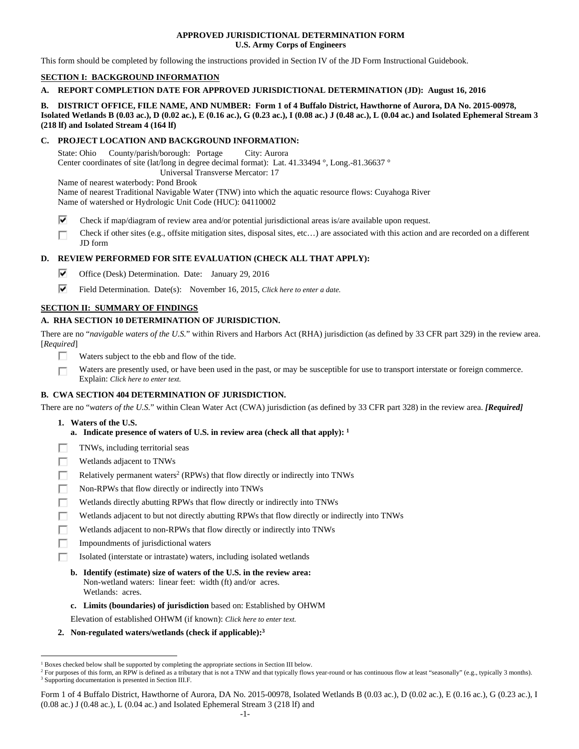## **APPROVED JURISDICTIONAL DETERMINATION FORM U.S. Army Corps of Engineers**

This form should be completed by following the instructions provided in Section IV of the JD Form Instructional Guidebook.

## **SECTION I: BACKGROUND INFORMATION**

**A. REPORT COMPLETION DATE FOR APPROVED JURISDICTIONAL DETERMINATION (JD): August 16, 2016** 

## **B. DISTRICT OFFICE, FILE NAME, AND NUMBER: Form 1 of 4 Buffalo District, Hawthorne of Aurora, DA No. 2015-00978, Isolated Wetlands B (0.03 ac.), D (0.02 ac.), E (0.16 ac.), G (0.23 ac.), I (0.08 ac.) J (0.48 ac.), L (0.04 ac.) and Isolated Ephemeral Stream 3 (218 lf) and Isolated Stream 4 (164 lf)**

## **C. PROJECT LOCATION AND BACKGROUND INFORMATION:**

State: Ohio County/parish/borough: Portage City: Aurora Center coordinates of site (lat/long in degree decimal format): Lat. 41.33494 °, Long.-81.36637 ° Universal Transverse Mercator: 17

Name of nearest waterbody: Pond Brook

Name of nearest Traditional Navigable Water (TNW) into which the aquatic resource flows: Cuyahoga River Name of watershed or Hydrologic Unit Code (HUC): 04110002

- ⊽ Check if map/diagram of review area and/or potential jurisdictional areas is/are available upon request.
- Check if other sites (e.g., offsite mitigation sites, disposal sites, etc…) are associated with this action and are recorded on a different П JD form

## **D. REVIEW PERFORMED FOR SITE EVALUATION (CHECK ALL THAT APPLY):**

- ⊽. Office (Desk) Determination. Date: January 29, 2016
- ⊽. Field Determination. Date(s): November 16, 2015, *Click here to enter a date.*

## **SECTION II: SUMMARY OF FINDINGS**

## **A. RHA SECTION 10 DETERMINATION OF JURISDICTION.**

There are no "*navigable waters of the U.S.*" within Rivers and Harbors Act (RHA) jurisdiction (as defined by 33 CFR part 329) in the review area. [*Required*]

- п Waters subject to the ebb and flow of the tide.
- Waters are presently used, or have been used in the past, or may be susceptible for use to transport interstate or foreign commerce. П Explain: *Click here to enter text.*

# **B. CWA SECTION 404 DETERMINATION OF JURISDICTION.**

There are no "*waters of the U.S.*" within Clean Water Act (CWA) jurisdiction (as defined by 33 CFR part 328) in the review area. *[Required]*

 **1. Waters of the U.S.** 

 $\overline{a}$ 

- **a. Indicate presence of waters of U.S. in review area (check all that apply): 1**
- TNWs, including territorial seas п
- п Wetlands adjacent to TNWs
- п Relatively permanent waters<sup>2</sup> (RPWs) that flow directly or indirectly into TNWs
- Non-RPWs that flow directly or indirectly into TNWs п
- п Wetlands directly abutting RPWs that flow directly or indirectly into TNWs
- Wetlands adjacent to but not directly abutting RPWs that flow directly or indirectly into TNWs г
- Wetlands adjacent to non-RPWs that flow directly or indirectly into TNWs г
- п Impoundments of jurisdictional waters
- п Isolated (interstate or intrastate) waters, including isolated wetlands
	- **b. Identify (estimate) size of waters of the U.S. in the review area:**  Non-wetland waters: linear feet: width (ft) and/or acres. Wetlands: acres.
	- **c. Limits (boundaries) of jurisdiction** based on: Established by OHWM

Elevation of established OHWM (if known): *Click here to enter text.*

 **2. Non-regulated waters/wetlands (check if applicable):3**

<sup>&</sup>lt;sup>1</sup> Boxes checked below shall be supported by completing the appropriate sections in Section III below.<br><sup>2</sup> For purposes of this form, an RPW is defined as a tributary that is not a TNW and that typically flows

<sup>&</sup>lt;sup>2</sup> For purposes of this form, an RPW is defined as a tributary that is not a TNW and that typically flows year-round or has continuous flow at least "seasonally" (e.g., typically 3 months). <sup>3</sup> Supporting documentation is presented in Section III.F.

Form 1 of 4 Buffalo District, Hawthorne of Aurora, DA No. 2015-00978, Isolated Wetlands B (0.03 ac.), D (0.02 ac.), E (0.16 ac.), G (0.23 ac.), I  $(0.08$  ac.) J  $(0.48$  ac.), L  $(0.04$  ac.) and Isolated Ephemeral Stream 3  $(218 \text{ If})$  and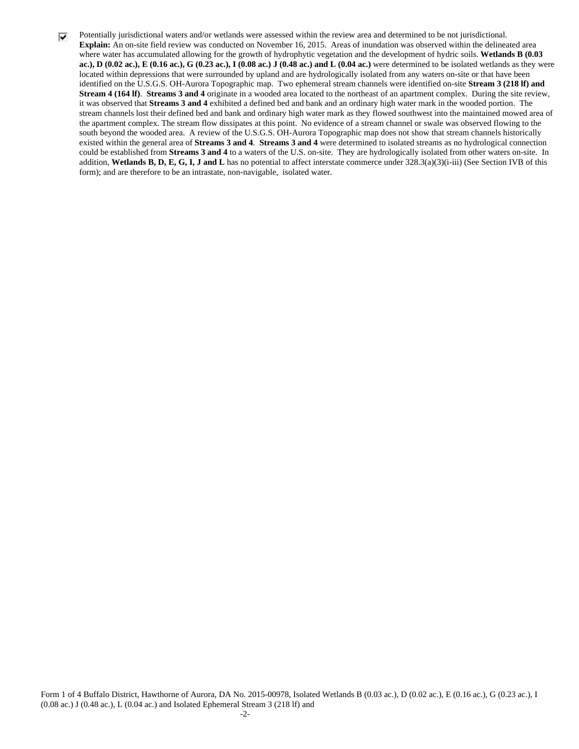⊽ Potentially jurisdictional waters and/or wetlands were assessed within the review area and determined to be not jurisdictional. **Explain:** An on-site field review was conducted on November 16, 2015. Areas of inundation was observed within the delineated area where water has accumulated allowing for the growth of hydrophytic vegetation and the development of hydric soils. **Wetlands B (0.03 ac.), D (0.02 ac.), E (0.16 ac.), G (0.23 ac.), I (0.08 ac.) J (0.48 ac.) and L (0.04 ac.)** were determined to be isolated wetlands as they were located within depressions that were surrounded by upland and are hydrologically isolated from any waters on-site or that have been identified on the U.S.G.S. OH-Aurora Topographic map. Two ephemeral stream channels were identified on-site **Stream 3 (218 lf) and Stream 4 (164 lf)**. **Streams 3 and 4** originate in a wooded area located to the northeast of an apartment complex. During the site review, it was observed that **Streams 3 and 4** exhibited a defined bed and bank and an ordinary high water mark in the wooded portion. The stream channels lost their defined bed and bank and ordinary high water mark as they flowed southwest into the maintained mowed area of the apartment complex. The stream flow dissipates at this point. No evidence of a stream channel or swale was observed flowing to the south beyond the wooded area. A review of the U.S.G.S. OH-Aurora Topographic map does not show that stream channels historically existed within the general area of **Streams 3 and 4**. **Streams 3 and 4** were determined to isolated streams as no hydrological connection could be established from **Streams 3 and 4** to a waters of the U.S. on-site. They are hydrologically isolated from other waters on-site. In addition, **Wetlands B, D, E, G, I, J and L** has no potential to affect interstate commerce under 328.3(a)(3)(i-iii) (See Section IVB of this form); and are therefore to be an intrastate, non-navigable, isolated water.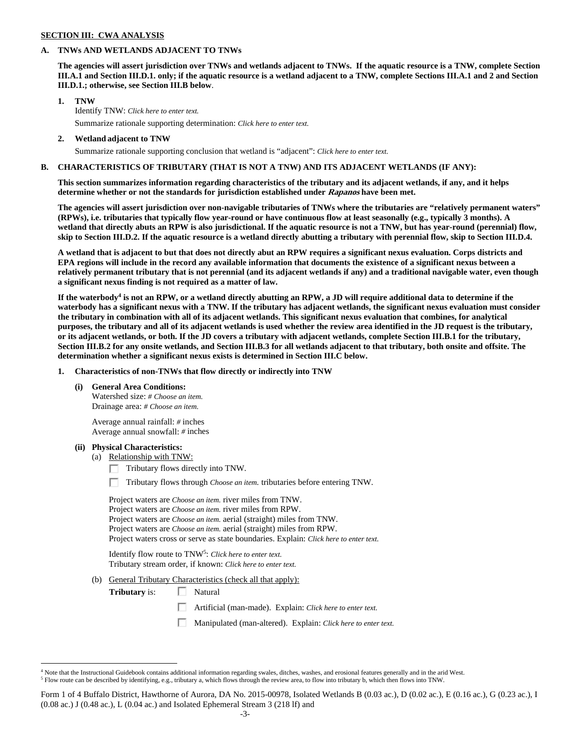### **SECTION III: CWA ANALYSIS**

### **A. TNWs AND WETLANDS ADJACENT TO TNWs**

**The agencies will assert jurisdiction over TNWs and wetlands adjacent to TNWs. If the aquatic resource is a TNW, complete Section III.A.1 and Section III.D.1. only; if the aquatic resource is a wetland adjacent to a TNW, complete Sections III.A.1 and 2 and Section III.D.1.; otherwise, see Section III.B below**.

## **1. TNW**

 Identify TNW: *Click here to enter text.* Summarize rationale supporting determination: *Click here to enter text.*

 **2. Wetland adjacent to TNW** 

Summarize rationale supporting conclusion that wetland is "adjacent": *Click here to enter text.*

### **B. CHARACTERISTICS OF TRIBUTARY (THAT IS NOT A TNW) AND ITS ADJACENT WETLANDS (IF ANY):**

**This section summarizes information regarding characteristics of the tributary and its adjacent wetlands, if any, and it helps determine whether or not the standards for jurisdiction established under Rapanos have been met.** 

**The agencies will assert jurisdiction over non-navigable tributaries of TNWs where the tributaries are "relatively permanent waters" (RPWs), i.e. tributaries that typically flow year-round or have continuous flow at least seasonally (e.g., typically 3 months). A wetland that directly abuts an RPW is also jurisdictional. If the aquatic resource is not a TNW, but has year-round (perennial) flow, skip to Section III.D.2. If the aquatic resource is a wetland directly abutting a tributary with perennial flow, skip to Section III.D.4.** 

**A wetland that is adjacent to but that does not directly abut an RPW requires a significant nexus evaluation. Corps districts and EPA regions will include in the record any available information that documents the existence of a significant nexus between a relatively permanent tributary that is not perennial (and its adjacent wetlands if any) and a traditional navigable water, even though a significant nexus finding is not required as a matter of law.** 

If the waterbody<sup>4</sup> is not an RPW, or a wetland directly abutting an RPW, a JD will require additional data to determine if the **waterbody has a significant nexus with a TNW. If the tributary has adjacent wetlands, the significant nexus evaluation must consider the tributary in combination with all of its adjacent wetlands. This significant nexus evaluation that combines, for analytical purposes, the tributary and all of its adjacent wetlands is used whether the review area identified in the JD request is the tributary, or its adjacent wetlands, or both. If the JD covers a tributary with adjacent wetlands, complete Section III.B.1 for the tributary, Section III.B.2 for any onsite wetlands, and Section III.B.3 for all wetlands adjacent to that tributary, both onsite and offsite. The determination whether a significant nexus exists is determined in Section III.C below.** 

 **1. Characteristics of non-TNWs that flow directly or indirectly into TNW** 

#### **(i) General Area Conditions:**

 Watershed size: *# Choose an item.* Drainage area: *# Choose an item.*

 Average annual rainfall: *#* inches Average annual snowfall: *#* inches

#### **(ii) Physical Characteristics:**

 $\overline{a}$ 

(a) Relationship with TNW:

Tributary flows directly into TNW.

п Tributary flows through *Choose an item.* tributaries before entering TNW.

 Project waters are *Choose an item.* river miles from TNW. Project waters are *Choose an item.* river miles from RPW. Project waters are *Choose an item.* aerial (straight) miles from TNW. Project waters are *Choose an item.* aerial (straight) miles from RPW. Project waters cross or serve as state boundaries. Explain: *Click here to enter text.*

Identify flow route to TNW5: *Click here to enter text.* Tributary stream order, if known: *Click here to enter text.*

(b) General Tributary Characteristics (check all that apply):

**Tributary** is:  $\Box$  Natural

П Artificial (man-made). Explain: *Click here to enter text.*

П Manipulated (man-altered). Explain: *Click here to enter text.*

<sup>4</sup> Note that the Instructional Guidebook contains additional information regarding swales, ditches, washes, and erosional features generally and in the arid West.

 $^5$  Flow route can be described by identifying, e.g., tributary a, which flows through the review area, to flow into tributary b, which then flows into TNW.

Form 1 of 4 Buffalo District, Hawthorne of Aurora, DA No. 2015-00978, Isolated Wetlands B (0.03 ac.), D (0.02 ac.), E (0.16 ac.), G (0.23 ac.), I  $(0.08$  ac.) J  $(0.48$  ac.), L  $(0.04$  ac.) and Isolated Ephemeral Stream 3  $(218 \text{ If})$  and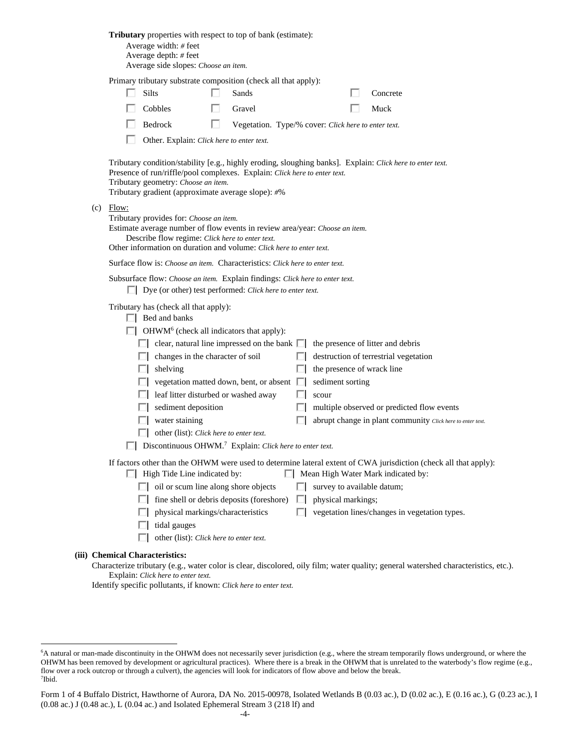|  | Tributary properties with respect to top of bank (estimate): |
|--|--------------------------------------------------------------|
|--|--------------------------------------------------------------|

| Average width: $#$ feet                    |
|--------------------------------------------|
| Average depth: $#$ feet                    |
| $\Lambda$ represented a classes $\Omega$ . |

Average side slopes: *Choose an item.*

|       | Primary tributary substrate composition (check all that apply): |          |
|-------|-----------------------------------------------------------------|----------|
| Silts | Sands                                                           | Concrete |

| $\Box$ $\Box$  | o anivo       | $\Box$ Concre |
|----------------|---------------|---------------|
| $\Box$ Cobbles | $\Box$ Gravel | $\Box$ Muck   |

|  | Bedrock |  |  |  | Vegetation. Type/% cover: Click here to enter text. |
|--|---------|--|--|--|-----------------------------------------------------|
|--|---------|--|--|--|-----------------------------------------------------|

П Other. Explain: *Click here to enter text.*

 Tributary condition/stability [e.g., highly eroding, sloughing banks]. Explain: *Click here to enter text.* Presence of run/riffle/pool complexes. Explain: *Click here to enter text.* Tributary geometry: *Choose an item.* Tributary gradient (approximate average slope): *#*%

 $(c)$  Flow:

Tributary provides for: *Choose an item.*

 Estimate average number of flow events in review area/year: *Choose an item.* Describe flow regime: *Click here to enter text.*

Other information on duration and volume: *Click here to enter text.*

Surface flow is: *Choose an item.* Characteristics: *Click here to enter text.*

|  | Subsurface flow: Choose an item. Explain findings: Click here to enter text. |
|--|------------------------------------------------------------------------------|
|--|------------------------------------------------------------------------------|

Dye (or other) test performed: *Click here to enter text.*

Tributary has (check all that apply):

| Bed and banks |
|---------------|
|               |

OHWM<sup>6</sup> (check all indicators that apply):

|              | $\Box$ clear, natural line impressed on the bank $\Box$ the presence of litter and debris |                                                            |
|--------------|-------------------------------------------------------------------------------------------|------------------------------------------------------------|
|              | $\Box$ changes in the character of soil                                                   | $\Box$ destruction of terrestrial vegetation               |
|              | shelving                                                                                  | $\Box$ the presence of wrack line                          |
|              | $\Box$ vegetation matted down, bent, or absent $\Box$ sediment sorting                    |                                                            |
|              | $\Box$ leaf litter disturbed or washed away                                               | scour                                                      |
| $\mathbf{1}$ | sediment deposition                                                                       | $\Box$ multiple observed or predicted flow events          |
| . .          | water staining                                                                            | abrupt change in plant community Click here to enter text. |
|              |                                                                                           |                                                            |

- other (list): *Click here to enter text.*
- Discontinuous OHWM.7 Explain: *Click here to enter text.*

If factors other than the OHWM were used to determine lateral extent of CWA jurisdiction (check all that apply):

- $\Box$  High Tide Line indicated by:  $\Box$  Mean High Water Mark indicated by:
	- oil or scum line along shore objects  $\Box$  survey to available datum;
	- $\Box$  fine shell or debris deposits (foreshore)  $\Box$  physical markings;
	- $\Box$  physical markings/characteristics  $\Box$  vegetation lines/changes in vegetation types.
	- $\Box$  tidal gauges
	- other (list): *Click here to enter text.*

## **(iii) Chemical Characteristics:**

 $\overline{a}$ 

Characterize tributary (e.g., water color is clear, discolored, oily film; water quality; general watershed characteristics, etc.). Explain: *Click here to enter text.*

Identify specific pollutants, if known: *Click here to enter text.*

<sup>&</sup>lt;sup>6</sup>A natural or man-made discontinuity in the OHWM does not necessarily sever jurisdiction (e.g., where the stream temporarily flows underground, or where the OHWM has been removed by development or agricultural practices). Where there is a break in the OHWM that is unrelated to the waterbody's flow regime (e.g., flow over a rock outcrop or through a culvert), the agencies will look for indicators of flow above and below the break. 7 Ibid.

Form 1 of 4 Buffalo District, Hawthorne of Aurora, DA No. 2015-00978, Isolated Wetlands B (0.03 ac.), D (0.02 ac.), E (0.16 ac.), G (0.23 ac.), I  $(0.08$  ac.) J  $(0.48$  ac.), L  $(0.04$  ac.) and Isolated Ephemeral Stream 3  $(218 \text{ If})$  and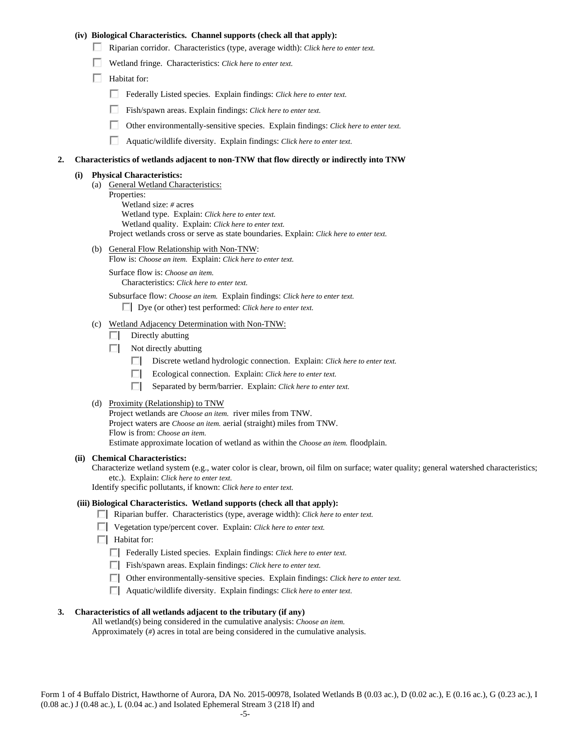## **(iv) Biological Characteristics. Channel supports (check all that apply):**

- Riparian corridor. Characteristics (type, average width): *Click here to enter text.*
- Wetland fringe. Characteristics: *Click here to enter text.*
- $\Box$  Habitat for:
	- Federally Listed species. Explain findings: *Click here to enter text.*
	- Fish/spawn areas. Explain findings: *Click here to enter text.*
	- Other environmentally-sensitive species. Explain findings: *Click here to enter text.*
	- п. Aquatic/wildlife diversity. Explain findings: *Click here to enter text.*

### **2. Characteristics of wetlands adjacent to non-TNW that flow directly or indirectly into TNW**

## **(i) Physical Characteristics:**

- (a) General Wetland Characteristics:
	- Properties:

 Wetland size: *#* acres Wetland type. Explain: *Click here to enter text.* Wetland quality. Explain: *Click here to enter text.* Project wetlands cross or serve as state boundaries. Explain: *Click here to enter text.*

(b) General Flow Relationship with Non-TNW: Flow is: *Choose an item.* Explain: *Click here to enter text.*

 Surface flow is: *Choose an item.* Characteristics: *Click here to enter text.*

Subsurface flow: *Choose an item.* Explain findings: *Click here to enter text.*

Dye (or other) test performed: *Click here to enter text.*

## (c) Wetland Adjacency Determination with Non-TNW:

- $\Box$  Directly abutting
- $\Box$  Not directly abutting
	- п. Discrete wetland hydrologic connection. Explain: *Click here to enter text.*
	- Ecological connection. Explain: *Click here to enter text.* П.
	- O. Separated by berm/barrier. Explain: *Click here to enter text.*
- (d) Proximity (Relationship) to TNW

Project wetlands are *Choose an item.* river miles from TNW. Project waters are *Choose an item.* aerial (straight) miles from TNW. Flow is from: *Choose an item.* Estimate approximate location of wetland as within the *Choose an item.* floodplain.

#### **(ii) Chemical Characteristics:**

Characterize wetland system (e.g., water color is clear, brown, oil film on surface; water quality; general watershed characteristics; etc.). Explain: *Click here to enter text.*

Identify specific pollutants, if known: *Click here to enter text.*

#### **(iii) Biological Characteristics. Wetland supports (check all that apply):**

- Riparian buffer. Characteristics (type, average width): *Click here to enter text.*
- Vegetation type/percent cover. Explain: *Click here to enter text.*
- $\Box$  Habitat for:
	- Federally Listed species. Explain findings: *Click here to enter text*.
	- Fish/spawn areas. Explain findings: *Click here to enter text*.
	- Other environmentally-sensitive species. Explain findings: *Click here to enter text.*
	- Aquatic/wildlife diversity. Explain findings: *Click here to enter text.*

## **3. Characteristics of all wetlands adjacent to the tributary (if any)**

 All wetland(s) being considered in the cumulative analysis: *Choose an item.* Approximately (*#*) acres in total are being considered in the cumulative analysis.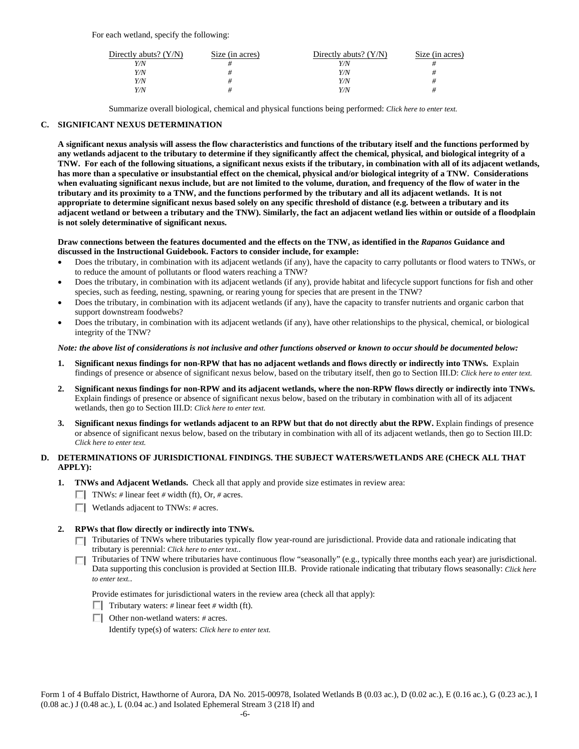| Directly abuts? $(Y/N)$ | Size (in acres) | Directly abuts? $(Y/N)$ | Size (in acres) |
|-------------------------|-----------------|-------------------------|-----------------|
| Y/N                     |                 | Y/N                     |                 |
| Y/N                     |                 | Y/N                     |                 |
| Y/N                     |                 | Y/N                     |                 |
| Y/N                     |                 | Y/N                     |                 |

Summarize overall biological, chemical and physical functions being performed: *Click here to enter text.*

## **C. SIGNIFICANT NEXUS DETERMINATION**

**A significant nexus analysis will assess the flow characteristics and functions of the tributary itself and the functions performed by any wetlands adjacent to the tributary to determine if they significantly affect the chemical, physical, and biological integrity of a TNW. For each of the following situations, a significant nexus exists if the tributary, in combination with all of its adjacent wetlands, has more than a speculative or insubstantial effect on the chemical, physical and/or biological integrity of a TNW. Considerations when evaluating significant nexus include, but are not limited to the volume, duration, and frequency of the flow of water in the tributary and its proximity to a TNW, and the functions performed by the tributary and all its adjacent wetlands. It is not appropriate to determine significant nexus based solely on any specific threshold of distance (e.g. between a tributary and its adjacent wetland or between a tributary and the TNW). Similarly, the fact an adjacent wetland lies within or outside of a floodplain is not solely determinative of significant nexus.** 

#### **Draw connections between the features documented and the effects on the TNW, as identified in the** *Rapanos* **Guidance and discussed in the Instructional Guidebook. Factors to consider include, for example:**

- Does the tributary, in combination with its adjacent wetlands (if any), have the capacity to carry pollutants or flood waters to TNWs, or to reduce the amount of pollutants or flood waters reaching a TNW?
- Does the tributary, in combination with its adjacent wetlands (if any), provide habitat and lifecycle support functions for fish and other species, such as feeding, nesting, spawning, or rearing young for species that are present in the TNW?
- Does the tributary, in combination with its adjacent wetlands (if any), have the capacity to transfer nutrients and organic carbon that support downstream foodwebs?
- Does the tributary, in combination with its adjacent wetlands (if any), have other relationships to the physical, chemical, or biological integrity of the TNW?

## *Note: the above list of considerations is not inclusive and other functions observed or known to occur should be documented below:*

- **1. Significant nexus findings for non-RPW that has no adjacent wetlands and flows directly or indirectly into TNWs.** Explain findings of presence or absence of significant nexus below, based on the tributary itself, then go to Section III.D: *Click here to enter text.*
- **2. Significant nexus findings for non-RPW and its adjacent wetlands, where the non-RPW flows directly or indirectly into TNWs.**  Explain findings of presence or absence of significant nexus below, based on the tributary in combination with all of its adjacent wetlands, then go to Section III.D: *Click here to enter text.*
- **3. Significant nexus findings for wetlands adjacent to an RPW but that do not directly abut the RPW.** Explain findings of presence or absence of significant nexus below, based on the tributary in combination with all of its adjacent wetlands, then go to Section III.D: *Click here to enter text.*

## **D. DETERMINATIONS OF JURISDICTIONAL FINDINGS. THE SUBJECT WATERS/WETLANDS ARE (CHECK ALL THAT APPLY):**

- **1. TNWs and Adjacent Wetlands.** Check all that apply and provide size estimates in review area:
	- TNWs: *#* linear feet *#* width (ft), Or, *#* acres.
	- Wetlands adjacent to TNWs: *#* acres.

## **2. RPWs that flow directly or indirectly into TNWs.**

- Tributaries of TNWs where tributaries typically flow year-round are jurisdictional. Provide data and rationale indicating that tributary is perennial: *Click here to enter text.*.
- Tributaries of TNW where tributaries have continuous flow "seasonally" (e.g., typically three months each year) are jurisdictional. Data supporting this conclusion is provided at Section III.B. Provide rationale indicating that tributary flows seasonally: *Click here to enter text.*.

Provide estimates for jurisdictional waters in the review area (check all that apply):

- Tributary waters:  $\#$  linear feet  $\#$  width (ft).
- Other non-wetland waters: *#* acres.

Identify type(s) of waters: *Click here to enter text.*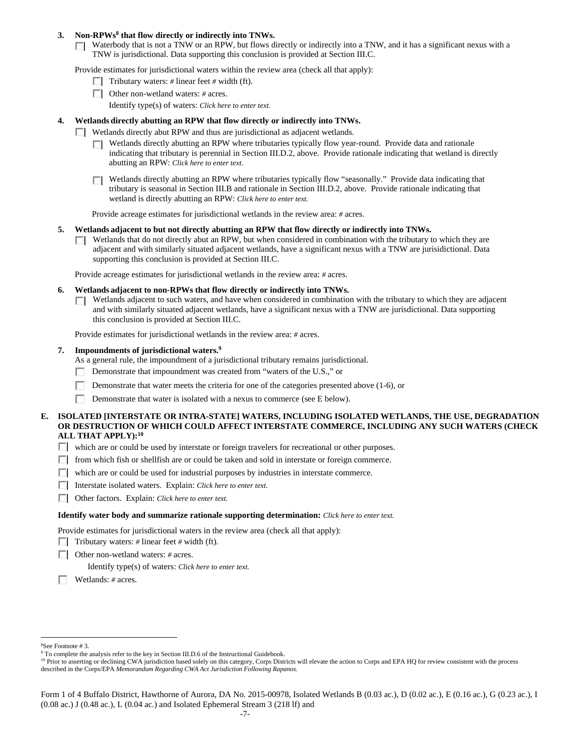## 3. Non-RPWs<sup>8</sup> that flow directly or indirectly into TNWs.

Waterbody that is not a TNW or an RPW, but flows directly or indirectly into a TNW, and it has a significant nexus with a TNW is jurisdictional. Data supporting this conclusion is provided at Section III.C.

Provide estimates for jurisdictional waters within the review area (check all that apply):

- **Tributary waters:** # linear feet # width (ft).
- Other non-wetland waters: *#* acres.
	- Identify type(s) of waters: *Click here to enter text.*

## **4. Wetlands directly abutting an RPW that flow directly or indirectly into TNWs.**

- **Wetlands directly abut RPW and thus are jurisdictional as adjacent wetlands.** 
	- Wetlands directly abutting an RPW where tributaries typically flow year-round. Provide data and rationale indicating that tributary is perennial in Section III.D.2, above. Provide rationale indicating that wetland is directly abutting an RPW: *Click here to enter text.*
	- Wetlands directly abutting an RPW where tributaries typically flow "seasonally." Provide data indicating that П tributary is seasonal in Section III.B and rationale in Section III.D.2, above. Provide rationale indicating that wetland is directly abutting an RPW: *Click here to enter text.*

Provide acreage estimates for jurisdictional wetlands in the review area: *#* acres.

- **5. Wetlands adjacent to but not directly abutting an RPW that flow directly or indirectly into TNWs.** 
	- $\Box$  Wetlands that do not directly abut an RPW, but when considered in combination with the tributary to which they are adjacent and with similarly situated adjacent wetlands, have a significant nexus with a TNW are jurisidictional. Data supporting this conclusion is provided at Section III.C.

Provide acreage estimates for jurisdictional wetlands in the review area: *#* acres.

- **6. Wetlands adjacent to non-RPWs that flow directly or indirectly into TNWs.** 
	- Wetlands adjacent to such waters, and have when considered in combination with the tributary to which they are adjacent  $\Box$ and with similarly situated adjacent wetlands, have a significant nexus with a TNW are jurisdictional. Data supporting this conclusion is provided at Section III.C.

Provide estimates for jurisdictional wetlands in the review area: *#* acres.

#### **7. Impoundments of jurisdictional waters.9**

As a general rule, the impoundment of a jurisdictional tributary remains jurisdictional.

- Demonstrate that impoundment was created from "waters of the U.S.," or
- Demonstrate that water meets the criteria for one of the categories presented above (1-6), or
- Demonstrate that water is isolated with a nexus to commerce (see E below).

## **E. ISOLATED [INTERSTATE OR INTRA-STATE] WATERS, INCLUDING ISOLATED WETLANDS, THE USE, DEGRADATION OR DESTRUCTION OF WHICH COULD AFFECT INTERSTATE COMMERCE, INCLUDING ANY SUCH WATERS (CHECK ALL THAT APPLY):10**

- which are or could be used by interstate or foreign travelers for recreational or other purposes.
- $\Box$  from which fish or shellfish are or could be taken and sold in interstate or foreign commerce.
- $\Box$  which are or could be used for industrial purposes by industries in interstate commerce.
- Interstate isolated waters.Explain: *Click here to enter text.*
- Other factors.Explain: *Click here to enter text.*

#### **Identify water body and summarize rationale supporting determination:** *Click here to enter text.*

Provide estimates for jurisdictional waters in the review area (check all that apply):

- **Tributary waters:**  $\neq$  linear feet  $\neq$  width (ft).
- Other non-wetland waters: *#* acres.
	- Identify type(s) of waters: *Click here to enter text.*
- Wetlands: *#* acres.

 $\overline{a}$ 

<sup>8</sup> See Footnote # 3.

<sup>&</sup>lt;sup>9</sup> To complete the analysis refer to the key in Section III.D.6 of the Instructional Guidebook.

<sup>&</sup>lt;sup>10</sup> Prior to asserting or declining CWA jurisdiction based solely on this category, Corps Districts will elevate the action to Corps and EPA HQ for review consistent with the process described in the Corps/EPA *Memorandum Regarding CWA Act Jurisdiction Following Rapanos.*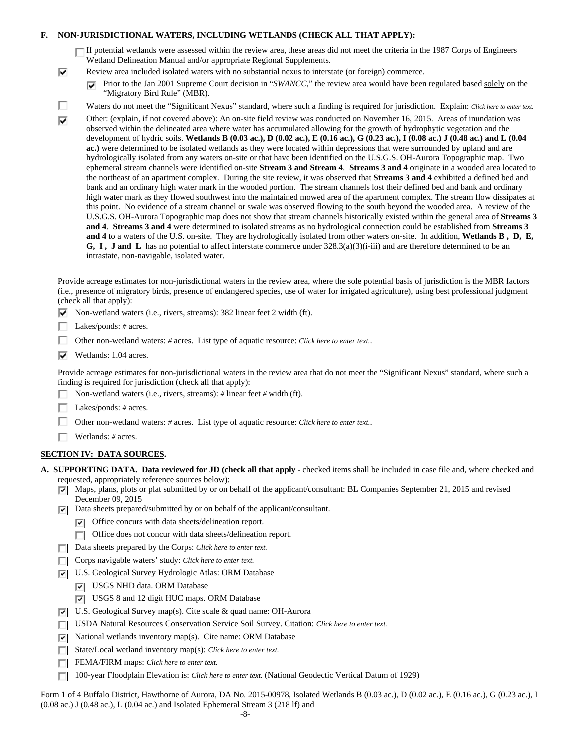## **F. NON-JURISDICTIONAL WATERS, INCLUDING WETLANDS (CHECK ALL THAT APPLY):**

If potential wetlands were assessed within the review area, these areas did not meet the criteria in the 1987 Corps of Engineers Wetland Delineation Manual and/or appropriate Regional Supplements.

- Review area included isolated waters with no substantial nexus to interstate (or foreign) commerce.
	- **Prior to the Jan 2001 Supreme Court decision in "***SWANCC*," the review area would have been regulated based solely on the "Migratory Bird Rule" (MBR).
- П Waters do not meet the "Significant Nexus" standard, where such a finding is required for jurisdiction. Explain: *Click here to enter text.*
- Other: (explain, if not covered above): An on-site field review was conducted on November 16, 2015. Areas of inundation was ☑ observed within the delineated area where water has accumulated allowing for the growth of hydrophytic vegetation and the development of hydric soils. **Wetlands B (0.03 ac.), D (0.02 ac.), E (0.16 ac.), G (0.23 ac.), I (0.08 ac.) J (0.48 ac.) and L (0.04 ac.)** were determined to be isolated wetlands as they were located within depressions that were surrounded by upland and are hydrologically isolated from any waters on-site or that have been identified on the U.S.G.S. OH-Aurora Topographic map. Two ephemeral stream channels were identified on-site **Stream 3 and Stream 4**. **Streams 3 and 4** originate in a wooded area located to the northeast of an apartment complex. During the site review, it was observed that **Streams 3 and 4** exhibited a defined bed and bank and an ordinary high water mark in the wooded portion. The stream channels lost their defined bed and bank and ordinary high water mark as they flowed southwest into the maintained mowed area of the apartment complex. The stream flow dissipates at this point. No evidence of a stream channel or swale was observed flowing to the south beyond the wooded area. A review of the U.S.G.S. OH-Aurora Topographic map does not show that stream channels historically existed within the general area of **Streams 3 and 4**. **Streams 3 and 4** were determined to isolated streams as no hydrological connection could be established from **Streams 3 and 4** to a waters of the U.S. on-site. They are hydrologically isolated from other waters on-site. In addition, **Wetlands B , D, E, G, I, J and L** has no potential to affect interstate commerce under  $328.3(a)(3)(i-iii)$  and are therefore determined to be an intrastate, non-navigable, isolated water.

Provide acreage estimates for non-jurisdictional waters in the review area, where the sole potential basis of jurisdiction is the MBR factors (i.e., presence of migratory birds, presence of endangered species, use of water for irrigated agriculture), using best professional judgment (check all that apply):

- $\triangledown$  Non-wetland waters (i.e., rivers, streams): 382 linear feet 2 width (ft).
- Г Lakes/ponds: *#* acres.

⊽

- п. Other non-wetland waters: *#* acres. List type of aquatic resource: *Click here to enter text.*.
- $\overline{\triangledown}$  Wetlands: 1.04 acres.

Provide acreage estimates for non-jurisdictional waters in the review area that do not meet the "Significant Nexus" standard, where such a finding is required for jurisdiction (check all that apply):

- г Non-wetland waters (i.e., rivers, streams): *#* linear feet *#* width (ft).
- Г Lakes/ponds: *#* acres.
- Other non-wetland waters: *#* acres. List type of aquatic resource: *Click here to enter text.*.
- Wetlands: *#* acres.

## **SECTION IV: DATA SOURCES.**

- **A. SUPPORTING DATA. Data reviewed for JD (check all that apply** checked items shall be included in case file and, where checked and requested, appropriately reference sources below):
	- $\nabla$  Maps, plans, plots or plat submitted by or on behalf of the applicant/consultant: BL Companies September 21, 2015 and revised December 09, 2015
	- $\nabla$  Data sheets prepared/submitted by or on behalf of the applicant/consultant.
		- $\nabla$  Office concurs with data sheets/delineation report.
		- Office does not concur with data sheets/delineation report.
	- Data sheets prepared by the Corps: *Click here to enter text.*
	- Corps navigable waters' study: *Click here to enter text.*
	- U.S. Geological Survey Hydrologic Atlas: ORM Database
		- USGS NHD data. ORM Database
		- USGS 8 and 12 digit HUC maps. ORM Database
	- U.S. Geological Survey map(s). Cite scale & quad name: OH-Aurora
	- USDA Natural Resources Conservation Service Soil Survey. Citation: *Click here to enter text.* П
	- National wetlands inventory map(s). Cite name: ORM Database ⊽⊦
	- State/Local wetland inventory map(s): *Click here to enter text.* г
	- FEMA/FIRM maps: *Click here to enter text.*  $\Box$
	- 100-year Floodplain Elevation is: *Click here to enter text.* (National Geodectic Vertical Datum of 1929) П

Form 1 of 4 Buffalo District, Hawthorne of Aurora, DA No. 2015-00978, Isolated Wetlands B (0.03 ac.), D (0.02 ac.), E (0.16 ac.), G (0.23 ac.), I  $(0.08$  ac.) J  $(0.48$  ac.), L  $(0.04$  ac.) and Isolated Ephemeral Stream 3  $(218 \text{ If})$  and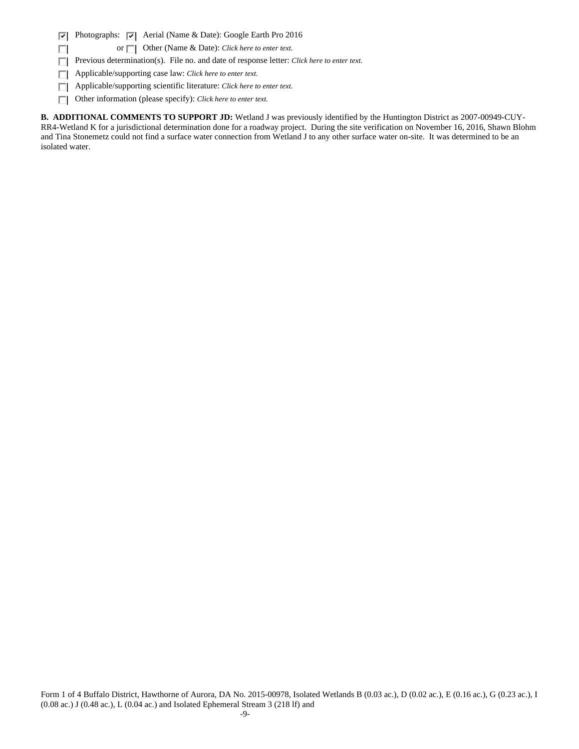$\overline{\mathbf{v}}$ Photographs:  $\overline{\triangledown}$  Aerial (Name & Date): Google Earth Pro 2016

or  $\Box$  Other (Name & Date): *Click here to enter text.* 

Previous determination(s). File no. and date of response letter: *Click here to enter text.*  $\Box$ 

Applicable/supporting case law: *Click here to enter text.* п

п

Applicable/supporting scientific literature: *Click here to enter text.* П

Other information (please specify): *Click here to enter text.* П

**B. ADDITIONAL COMMENTS TO SUPPORT JD:** Wetland J was previously identified by the Huntington District as 2007-00949-CUY-RR4-Wetland K for a jurisdictional determination done for a roadway project. During the site verification on November 16, 2016, Shawn Blohm and Tina Stonemetz could not find a surface water connection from Wetland J to any other surface water on-site. It was determined to be an isolated water.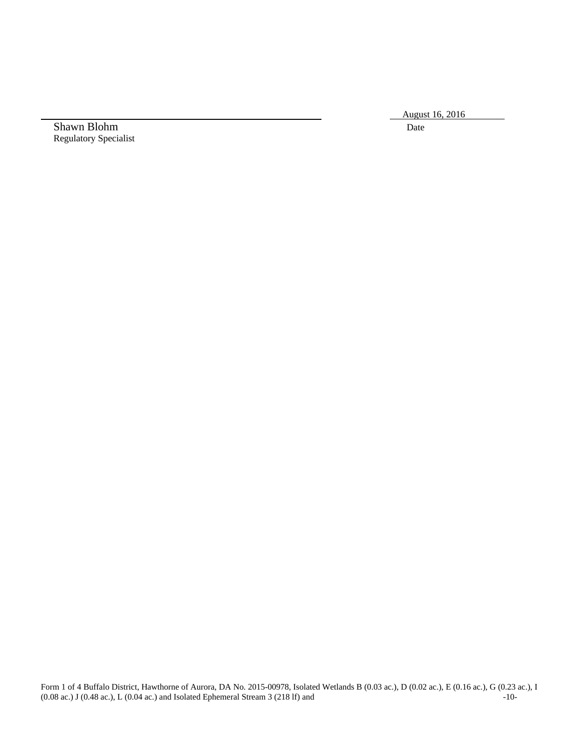August 16, 2016

Shawn Blohm Date Regulatory Specialist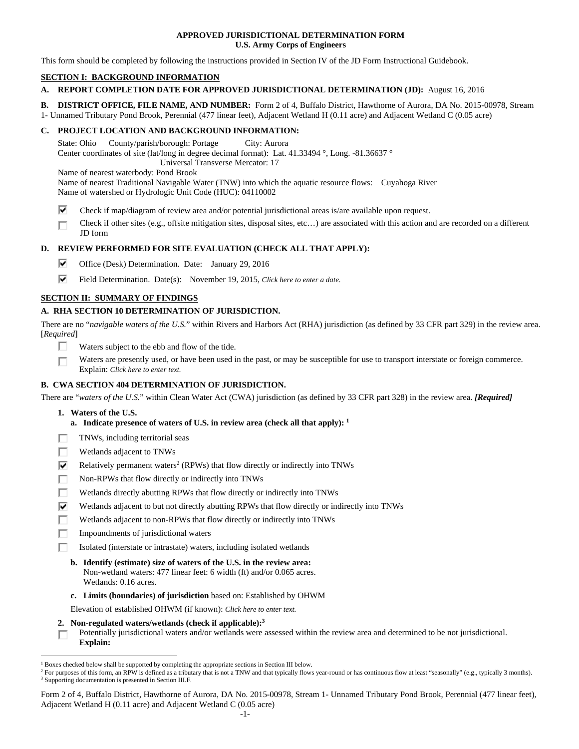## **APPROVED JURISDICTIONAL DETERMINATION FORM U.S. Army Corps of Engineers**

This form should be completed by following the instructions provided in Section IV of the JD Form Instructional Guidebook.

## **SECTION I: BACKGROUND INFORMATION**

## **A. REPORT COMPLETION DATE FOR APPROVED JURISDICTIONAL DETERMINATION (JD):** August 16, 2016

**B. DISTRICT OFFICE, FILE NAME, AND NUMBER:** Form 2 of 4, Buffalo District, Hawthorne of Aurora, DA No. 2015-00978, Stream

1- Unnamed Tributary Pond Brook, Perennial (477 linear feet), Adjacent Wetland H (0.11 acre) and Adjacent Wetland C (0.05 acre)

## **C. PROJECT LOCATION AND BACKGROUND INFORMATION:**

State: Ohio County/parish/borough: Portage City: Aurora Center coordinates of site (lat/long in degree decimal format): Lat. 41.33494 °, Long. -81.36637 ° Universal Transverse Mercator: 17

Name of nearest waterbody: Pond Brook

Name of nearest Traditional Navigable Water (TNW) into which the aquatic resource flows: Cuyahoga River Name of watershed or Hydrologic Unit Code (HUC): 04110002

- ⊽ Check if map/diagram of review area and/or potential jurisdictional areas is/are available upon request.
- Check if other sites (e.g., offsite mitigation sites, disposal sites, etc…) are associated with this action and are recorded on a different г JD form

## **D. REVIEW PERFORMED FOR SITE EVALUATION (CHECK ALL THAT APPLY):**

- ⊽. Office (Desk) Determination. Date: January 29, 2016
- ⊽. Field Determination. Date(s): November 19, 2015, *Click here to enter a date.*

## **SECTION II: SUMMARY OF FINDINGS**

## **A. RHA SECTION 10 DETERMINATION OF JURISDICTION.**

There are no "*navigable waters of the U.S.*" within Rivers and Harbors Act (RHA) jurisdiction (as defined by 33 CFR part 329) in the review area. [*Required*]

- п Waters subject to the ebb and flow of the tide.
- Waters are presently used, or have been used in the past, or may be susceptible for use to transport interstate or foreign commerce. П Explain: *Click here to enter text.*

## **B. CWA SECTION 404 DETERMINATION OF JURISDICTION.**

There are "*waters of the U.S.*" within Clean Water Act (CWA) jurisdiction (as defined by 33 CFR part 328) in the review area. *[Required]*

 **1. Waters of the U.S.** 

 $\overline{a}$ 

- **a. Indicate presence of waters of U.S. in review area (check all that apply): 1**
- TNWs, including territorial seas п
- Wetlands adjacent to TNWs п
- ⊽ Relatively permanent waters<sup>2</sup> (RPWs) that flow directly or indirectly into TNWs
- г Non-RPWs that flow directly or indirectly into TNWs
- Wetlands directly abutting RPWs that flow directly or indirectly into TNWs п
- ⊽ Wetlands adjacent to but not directly abutting RPWs that flow directly or indirectly into TNWs
- п Wetlands adjacent to non-RPWs that flow directly or indirectly into TNWs
- п Impoundments of jurisdictional waters
- п Isolated (interstate or intrastate) waters, including isolated wetlands
	- **b. Identify (estimate) size of waters of the U.S. in the review area:**  Non-wetland waters: 477 linear feet: 6 width (ft) and/or 0.065 acres. Wetlands: 0.16 acres.
	- **c. Limits (boundaries) of jurisdiction** based on: Established by OHWM

Elevation of established OHWM (if known): *Click here to enter text.*

 **2. Non-regulated waters/wetlands (check if applicable):3**

Potentially jurisdictional waters and/or wetlands were assessed within the review area and determined to be not jurisdictional. П **Explain:** 

<sup>&</sup>lt;sup>1</sup> Boxes checked below shall be supported by completing the appropriate sections in Section III below.<br><sup>2</sup> For purposes of this form, an RPW is defined as a tributary that is not a TNW and that typically flows

<sup>&</sup>lt;sup>2</sup> For purposes of this form, an RPW is defined as a tributary that is not a TNW and that typically flows year-round or has continuous flow at least "seasonally" (e.g., typically 3 months). <sup>3</sup> Supporting documentation is presented in Section III.F.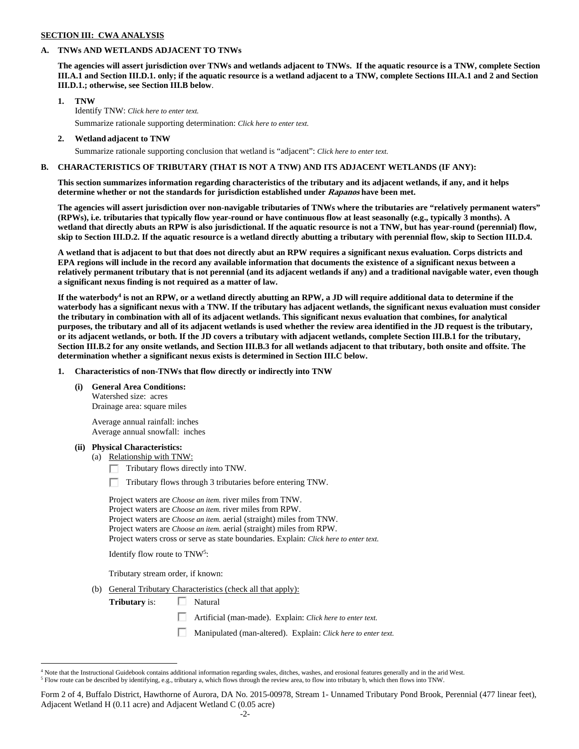### **SECTION III: CWA ANALYSIS**

### **A. TNWs AND WETLANDS ADJACENT TO TNWs**

**The agencies will assert jurisdiction over TNWs and wetlands adjacent to TNWs. If the aquatic resource is a TNW, complete Section III.A.1 and Section III.D.1. only; if the aquatic resource is a wetland adjacent to a TNW, complete Sections III.A.1 and 2 and Section III.D.1.; otherwise, see Section III.B below**.

## **1. TNW**

 Identify TNW: *Click here to enter text.* Summarize rationale supporting determination: *Click here to enter text.*

 **2. Wetland adjacent to TNW** 

Summarize rationale supporting conclusion that wetland is "adjacent": *Click here to enter text.*

### **B. CHARACTERISTICS OF TRIBUTARY (THAT IS NOT A TNW) AND ITS ADJACENT WETLANDS (IF ANY):**

**This section summarizes information regarding characteristics of the tributary and its adjacent wetlands, if any, and it helps determine whether or not the standards for jurisdiction established under Rapanos have been met.** 

**The agencies will assert jurisdiction over non-navigable tributaries of TNWs where the tributaries are "relatively permanent waters" (RPWs), i.e. tributaries that typically flow year-round or have continuous flow at least seasonally (e.g., typically 3 months). A wetland that directly abuts an RPW is also jurisdictional. If the aquatic resource is not a TNW, but has year-round (perennial) flow, skip to Section III.D.2. If the aquatic resource is a wetland directly abutting a tributary with perennial flow, skip to Section III.D.4.** 

**A wetland that is adjacent to but that does not directly abut an RPW requires a significant nexus evaluation. Corps districts and EPA regions will include in the record any available information that documents the existence of a significant nexus between a relatively permanent tributary that is not perennial (and its adjacent wetlands if any) and a traditional navigable water, even though a significant nexus finding is not required as a matter of law.** 

If the waterbody<sup>4</sup> is not an RPW, or a wetland directly abutting an RPW, a JD will require additional data to determine if the **waterbody has a significant nexus with a TNW. If the tributary has adjacent wetlands, the significant nexus evaluation must consider the tributary in combination with all of its adjacent wetlands. This significant nexus evaluation that combines, for analytical purposes, the tributary and all of its adjacent wetlands is used whether the review area identified in the JD request is the tributary, or its adjacent wetlands, or both. If the JD covers a tributary with adjacent wetlands, complete Section III.B.1 for the tributary, Section III.B.2 for any onsite wetlands, and Section III.B.3 for all wetlands adjacent to that tributary, both onsite and offsite. The determination whether a significant nexus exists is determined in Section III.C below.** 

 **1. Characteristics of non-TNWs that flow directly or indirectly into TNW** 

#### **(i) General Area Conditions:**

 Watershed size: acres Drainage area: square miles

 Average annual rainfall: inches Average annual snowfall: inches

#### **(ii) Physical Characteristics:**

 $\overline{a}$ 

(a) Relationship with TNW:

 $\Box$  Tributary flows directly into TNW.

п Tributary flows through 3 tributaries before entering TNW.

 Project waters are *Choose an item.* river miles from TNW. Project waters are *Choose an item.* river miles from RPW. Project waters are *Choose an item.* aerial (straight) miles from TNW. Project waters are *Choose an item.* aerial (straight) miles from RPW. Project waters cross or serve as state boundaries. Explain: *Click here to enter text.*

Identify flow route to TNW5:

Tributary stream order, if known:

(b) General Tributary Characteristics (check all that apply):

**Tributary** is:  $\Box$  Natural

Artificial (man-made). Explain: *Click here to enter text.*

П Manipulated (man-altered). Explain: *Click here to enter text.*

<sup>4</sup> Note that the Instructional Guidebook contains additional information regarding swales, ditches, washes, and erosional features generally and in the arid West.

 $^5$  Flow route can be described by identifying, e.g., tributary a, which flows through the review area, to flow into tributary b, which then flows into TNW.

Form 2 of 4, Buffalo District, Hawthorne of Aurora, DA No. 2015-00978, Stream 1- Unnamed Tributary Pond Brook, Perennial (477 linear feet), Adjacent Wetland H (0.11 acre) and Adjacent Wetland C (0.05 acre)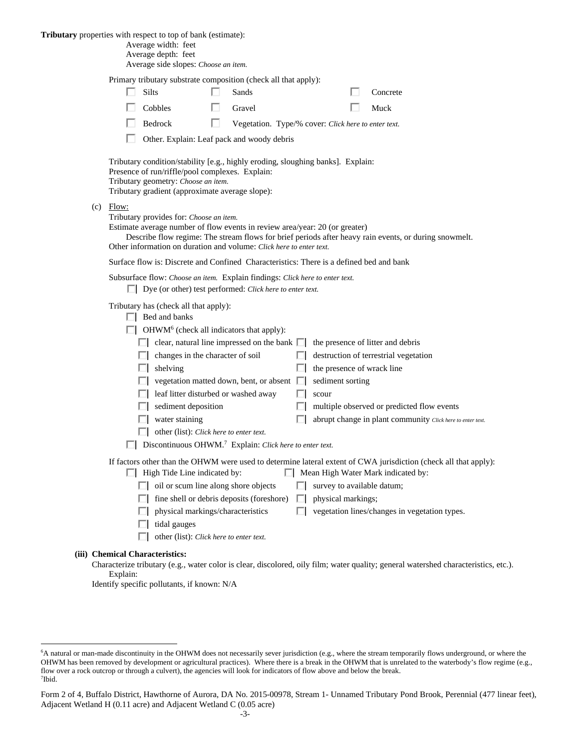**Tributary** properties with respect to top of bank (estimate):

| Average width: feet |  |
|---------------------|--|
|---------------------|--|

| Average depth: feet                  |
|--------------------------------------|
| Average side slopes: Choose an item. |

Primary tributary substrate composition (check all that apply):

| <b>Silts</b> | Sands  | Concrete |
|--------------|--------|----------|
| Cobbles      | Gravel | Muck     |

Bedrock **Vegetation.** Type/% cover: *Click here to enter text.* 

□ Other. Explain: Leaf pack and woody debris

 Tributary condition/stability [e.g., highly eroding, sloughing banks]. Explain: Presence of run/riffle/pool complexes. Explain: Tributary geometry: *Choose an item.* Tributary gradient (approximate average slope):

(c) Flow:

Tributary provides for: *Choose an item.*

Estimate average number of flow events in review area/year: 20 (or greater)

 Describe flow regime: The stream flows for brief periods after heavy rain events, or during snowmelt. Other information on duration and volume: *Click here to enter text.*

Surface flow is: Discrete and Confined Characteristics: There is a defined bed and bank

|  | Subsurface flow: Choose an item. Explain findings: Click here to enter text. |
|--|------------------------------------------------------------------------------|
|--|------------------------------------------------------------------------------|

Dye (or other) test performed: *Click here to enter text.*

Tributary has (check all that apply):

 $\Box$  Bed and banks

OHWM<sup>6</sup> (check all indicators that apply):

|              | clear, natural line impressed on the bank $\Box$ the presence of litter and debris |     |                                                            |
|--------------|------------------------------------------------------------------------------------|-----|------------------------------------------------------------|
|              | changes in the character of soil                                                   | . . | destruction of terrestrial vegetation                      |
|              | shelving                                                                           |     | the presence of wrack line                                 |
| $\mathbf{I}$ | vegetation matted down, bent, or absent $\Box$ sediment sorting                    |     |                                                            |
| $\mathbf{I}$ | leaf litter disturbed or washed away                                               |     | scour                                                      |
|              | sediment deposition                                                                |     | multiple observed or predicted flow events                 |
|              | water staining                                                                     |     | abrupt change in plant community Click here to enter text. |
|              |                                                                                    |     |                                                            |

other (list): *Click here to enter text.*

Discontinuous OHWM.7 Explain: *Click here to enter text.*

If factors other than the OHWM were used to determine lateral extent of CWA jurisdiction (check all that apply):

- $\Box$  High Tide Line indicated by:  $\Box$  Mean High Water Mark indicated by:
	- $\Box$  oil or scum line along shore objects  $\Box$  survey to available datum;
	- $\Box$  fine shell or debris deposits (foreshore)  $\Box$  physical markings;
	- $\Box$  physical markings/characteristics  $\Box$  vegetation lines/changes in vegetation types.
	- $\Box$  tidal gauges
	- other (list): *Click here to enter text.*

#### **(iii) Chemical Characteristics:**

 $\overline{a}$ 

Characterize tributary (e.g., water color is clear, discolored, oily film; water quality; general watershed characteristics, etc.). Explain:

Identify specific pollutants, if known: N/A

<sup>&</sup>lt;sup>6</sup>A natural or man-made discontinuity in the OHWM does not necessarily sever jurisdiction (e.g., where the stream temporarily flows underground, or where the OHWM has been removed by development or agricultural practices). Where there is a break in the OHWM that is unrelated to the waterbody's flow regime (e.g., flow over a rock outcrop or through a culvert), the agencies will look for indicators of flow above and below the break. 7 Ibid.

Form 2 of 4, Buffalo District, Hawthorne of Aurora, DA No. 2015-00978, Stream 1- Unnamed Tributary Pond Brook, Perennial (477 linear feet), Adjacent Wetland H (0.11 acre) and Adjacent Wetland C (0.05 acre)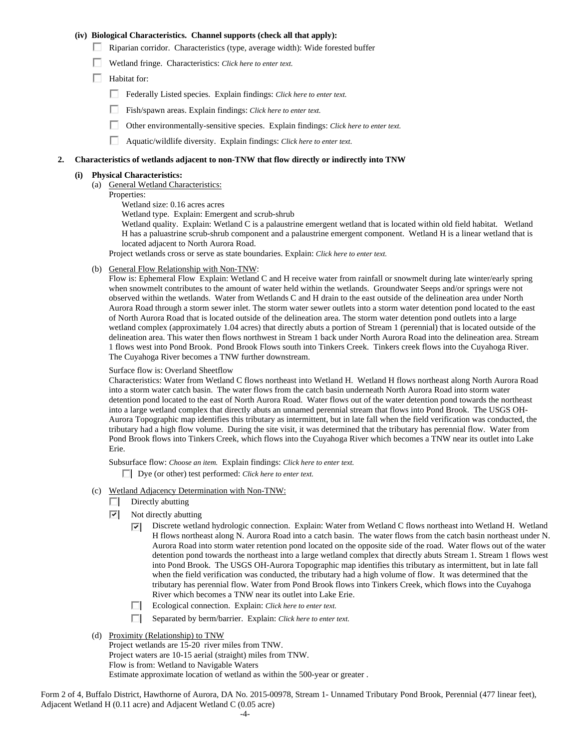## **(iv) Biological Characteristics. Channel supports (check all that apply):**

- Riparian corridor. Characteristics (type, average width): Wide forested buffer
- Wetland fringe. Characteristics: *Click here to enter text.*
- $\Box$  Habitat for:
	- Federally Listed species. Explain findings: *Click here to enter text.*
	- Fish/spawn areas. Explain findings: *Click here to enter text.*
	- Other environmentally-sensitive species. Explain findings: *Click here to enter text.*
	- п. Aquatic/wildlife diversity. Explain findings: *Click here to enter text.*

### **2. Characteristics of wetlands adjacent to non-TNW that flow directly or indirectly into TNW**

## **(i) Physical Characteristics:**

- (a) General Wetland Characteristics:
- Properties:

Wetland size: 0.16 acres acres

Wetland type. Explain: Emergent and scrub-shrub

Wetland quality. Explain: Wetland C is a palaustrine emergent wetland that is located within old field habitat. Wetland H has a paluastrine scrub-shrub component and a palaustrine emergent component. Wetland H is a linear wetland that is located adjacent to North Aurora Road.

Project wetlands cross or serve as state boundaries. Explain: *Click here to enter text.*

(b) General Flow Relationship with Non-TNW:

Flow is: Ephemeral Flow Explain: Wetland C and H receive water from rainfall or snowmelt during late winter/early spring when snowmelt contributes to the amount of water held within the wetlands. Groundwater Seeps and/or springs were not observed within the wetlands. Water from Wetlands C and H drain to the east outside of the delineation area under North Aurora Road through a storm sewer inlet. The storm water sewer outlets into a storm water detention pond located to the east of North Aurora Road that is located outside of the delineation area. The storm water detention pond outlets into a large wetland complex (approximately 1.04 acres) that directly abuts a portion of Stream 1 (perennial) that is located outside of the delineation area. This water then flows northwest in Stream 1 back under North Aurora Road into the delineation area. Stream 1 flows west into Pond Brook. Pond Brook Flows south into Tinkers Creek. Tinkers creek flows into the Cuyahoga River. The Cuyahoga River becomes a TNW further downstream.

### Surface flow is: Overland Sheetflow

Characteristics: Water from Wetland C flows northeast into Wetland H. Wetland H flows northeast along North Aurora Road into a storm water catch basin. The water flows from the catch basin underneath North Aurora Road into storm water detention pond located to the east of North Aurora Road. Water flows out of the water detention pond towards the northeast into a large wetland complex that directly abuts an unnamed perennial stream that flows into Pond Brook. The USGS OH-Aurora Topographic map identifies this tributary as intermittent, but in late fall when the field verification was conducted, the tributary had a high flow volume. During the site visit, it was determined that the tributary has perennial flow. Water from Pond Brook flows into Tinkers Creek, which flows into the Cuyahoga River which becomes a TNW near its outlet into Lake Erie.

Subsurface flow: *Choose an item.* Explain findings: *Click here to enter text.*

Dye (or other) test performed: *Click here to enter text.*

- (c) Wetland Adjacency Determination with Non-TNW:
	- П. Directly abutting
	- $|\nabla|$ Not directly abutting
		- ⊡ Discrete wetland hydrologic connection. Explain: Water from Wetland C flows northeast into Wetland H. Wetland H flows northeast along N. Aurora Road into a catch basin. The water flows from the catch basin northeast under N. Aurora Road into storm water retention pond located on the opposite side of the road. Water flows out of the water detention pond towards the northeast into a large wetland complex that directly abuts Stream 1. Stream 1 flows west into Pond Brook. The USGS OH-Aurora Topographic map identifies this tributary as intermittent, but in late fall when the field verification was conducted, the tributary had a high volume of flow. It was determined that the tributary has perennial flow. Water from Pond Brook flows into Tinkers Creek, which flows into the Cuyahoga River which becomes a TNW near its outlet into Lake Erie.
		- Ecological connection. Explain: *Click here to enter text.*
		- Separated by berm/barrier. Explain: *Click here to enter text.* П.
- (d) Proximity (Relationship) to TNW

Project wetlands are 15-20 river miles from TNW. Project waters are 10-15 aerial (straight) miles from TNW. Flow is from: Wetland to Navigable Waters Estimate approximate location of wetland as within the 500-year or greater .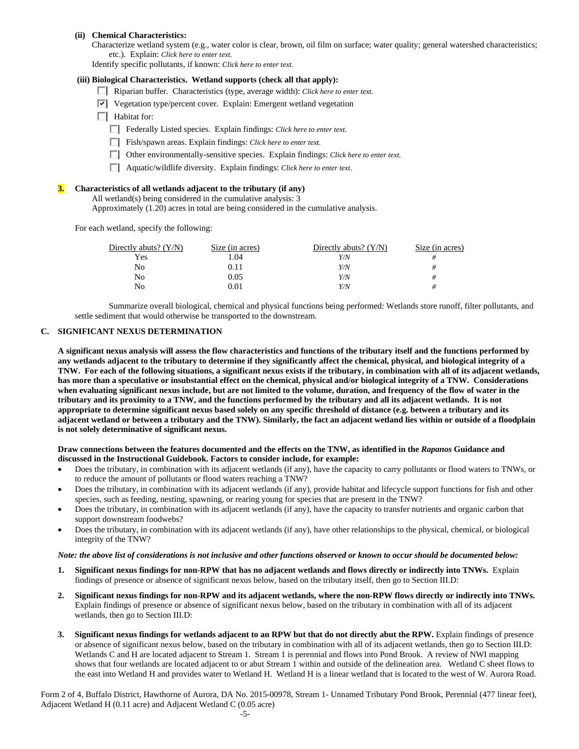### **(ii) Chemical Characteristics:**

Characterize wetland system (e.g., water color is clear, brown, oil film on surface; water quality; general watershed characteristics; etc.). Explain: *Click here to enter text.*

Identify specific pollutants, if known: *Click here to enter text.*

#### **(iii) Biological Characteristics. Wetland supports (check all that apply):**

- Riparian buffer. Characteristics (type, average width): *Click here to enter text.*
- $\triangledown$  Vegetation type/percent cover. Explain: Emergent wetland vegetation
- $\Box$  Habitat for:
	- Federally Listed species. Explain findings: *Click here to enter text*.
	- Fish/spawn areas. Explain findings: *Click here to enter text*.
	- Other environmentally-sensitive species. Explain findings: *Click here to enter text.*
	- Aquatic/wildlife diversity. Explain findings: *Click here to enter text.*

#### **3. Characteristics of all wetlands adjacent to the tributary (if any)**

All wetland(s) being considered in the cumulative analysis: 3

Approximately (1.20) acres in total are being considered in the cumulative analysis.

For each wetland, specify the following:

| Directly abuts? $(Y/N)$ | Size (in acres) | Directly abuts? $(Y/N)$ | Size (in acres) |
|-------------------------|-----------------|-------------------------|-----------------|
| Yes                     | . 04            | Y/N                     |                 |
| No                      | 0.11            | Y/N                     |                 |
| No                      | 0.05            | Y/N                     |                 |
| No                      | 0.01            | Y/N                     |                 |

 Summarize overall biological, chemical and physical functions being performed: Wetlands store runoff, filter pollutants, and settle sediment that would otherwise be transported to the downstream.

## **C. SIGNIFICANT NEXUS DETERMINATION**

**A significant nexus analysis will assess the flow characteristics and functions of the tributary itself and the functions performed by any wetlands adjacent to the tributary to determine if they significantly affect the chemical, physical, and biological integrity of a TNW. For each of the following situations, a significant nexus exists if the tributary, in combination with all of its adjacent wetlands, has more than a speculative or insubstantial effect on the chemical, physical and/or biological integrity of a TNW. Considerations when evaluating significant nexus include, but are not limited to the volume, duration, and frequency of the flow of water in the tributary and its proximity to a TNW, and the functions performed by the tributary and all its adjacent wetlands. It is not appropriate to determine significant nexus based solely on any specific threshold of distance (e.g. between a tributary and its adjacent wetland or between a tributary and the TNW). Similarly, the fact an adjacent wetland lies within or outside of a floodplain is not solely determinative of significant nexus.** 

#### **Draw connections between the features documented and the effects on the TNW, as identified in the** *Rapanos* **Guidance and discussed in the Instructional Guidebook. Factors to consider include, for example:**

- Does the tributary, in combination with its adjacent wetlands (if any), have the capacity to carry pollutants or flood waters to TNWs, or to reduce the amount of pollutants or flood waters reaching a TNW?
- Does the tributary, in combination with its adjacent wetlands (if any), provide habitat and lifecycle support functions for fish and other species, such as feeding, nesting, spawning, or rearing young for species that are present in the TNW?
- Does the tributary, in combination with its adjacent wetlands (if any), have the capacity to transfer nutrients and organic carbon that support downstream foodwebs?
- Does the tributary, in combination with its adjacent wetlands (if any), have other relationships to the physical, chemical, or biological integrity of the TNW?

#### *Note: the above list of considerations is not inclusive and other functions observed or known to occur should be documented below:*

- **1. Significant nexus findings for non-RPW that has no adjacent wetlands and flows directly or indirectly into TNWs.** Explain findings of presence or absence of significant nexus below, based on the tributary itself, then go to Section III.D:
- **2. Significant nexus findings for non-RPW and its adjacent wetlands, where the non-RPW flows directly or indirectly into TNWs.**  Explain findings of presence or absence of significant nexus below, based on the tributary in combination with all of its adjacent wetlands, then go to Section III.D:
- **3. Significant nexus findings for wetlands adjacent to an RPW but that do not directly abut the RPW.** Explain findings of presence or absence of significant nexus below, based on the tributary in combination with all of its adjacent wetlands, then go to Section III.D: Wetlands C and H are located adjacent to Stream 1. Stream 1 is perennial and flows into Pond Brook. A review of NWI mapping shows that four wetlands are located adjacent to or abut Stream 1 within and outside of the delineation area. Wetland C sheet flows to the east into Wetland H and provides water to Wetland H. Wetland H is a linear wetland that is located to the west of W. Aurora Road.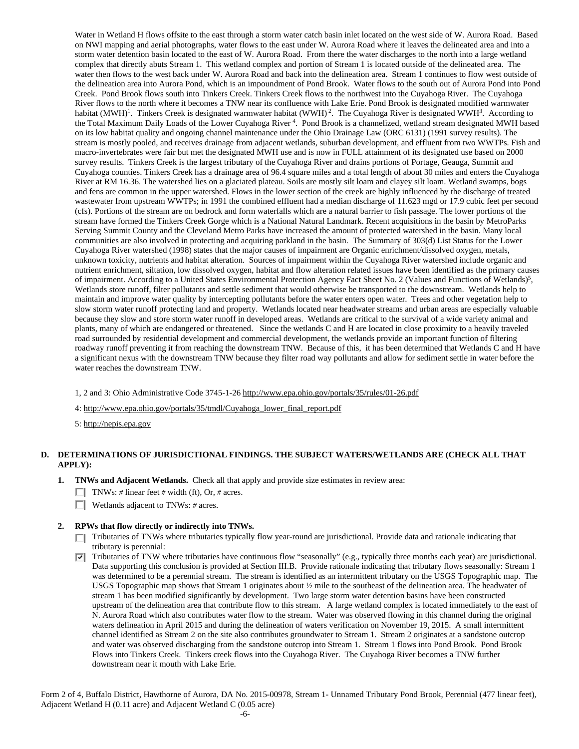Water in Wetland H flows offsite to the east through a storm water catch basin inlet located on the west side of W. Aurora Road. Based on NWI mapping and aerial photographs, water flows to the east under W. Aurora Road where it leaves the delineated area and into a storm water detention basin located to the east of W. Aurora Road. From there the water discharges to the north into a large wetland complex that directly abuts Stream 1. This wetland complex and portion of Stream 1 is located outside of the delineated area. The water then flows to the west back under W. Aurora Road and back into the delineation area. Stream 1 continues to flow west outside of the delineation area into Aurora Pond, which is an impoundment of Pond Brook. Water flows to the south out of Aurora Pond into Pond Creek. Pond Brook flows south into Tinkers Creek. Tinkers Creek flows to the northwest into the Cuyahoga River. The Cuyahoga River flows to the north where it becomes a TNW near its confluence with Lake Erie. Pond Brook is designated modified warmwater habitat (MWH)<sup>1</sup>. Tinkers Creek is designated warmwater habitat (WWH)<sup>2</sup>. The Cuyahoga River is designated WWH<sup>3</sup>. According to the Total Maximum Daily Loads of the Lower Cuyahoga River<sup>4</sup>. Pond Brook is a channelized, wetland stream designated MWH based on its low habitat quality and ongoing channel maintenance under the Ohio Drainage Law (ORC 6131) (1991 survey results). The stream is mostly pooled, and receives drainage from adjacent wetlands, suburban development, and effluent from two WWTPs. Fish and macro-invertebrates were fair but met the designated MWH use and is now in FULL attainment of its designated use based on 2000 survey results. Tinkers Creek is the largest tributary of the Cuyahoga River and drains portions of Portage, Geauga, Summit and Cuyahoga counties. Tinkers Creek has a drainage area of 96.4 square miles and a total length of about 30 miles and enters the Cuyahoga River at RM 16.36. The watershed lies on a glaciated plateau. Soils are mostly silt loam and clayey silt loam. Wetland swamps, bogs and fens are common in the upper watershed. Flows in the lower section of the creek are highly influenced by the discharge of treated wastewater from upstream WWTPs; in 1991 the combined effluent had a median discharge of 11.623 mgd or 17.9 cubic feet per second (cfs). Portions of the stream are on bedrock and form waterfalls which are a natural barrier to fish passage. The lower portions of the stream have formed the Tinkers Creek Gorge which is a National Natural Landmark. Recent acquisitions in the basin by MetroParks Serving Summit County and the Cleveland Metro Parks have increased the amount of protected watershed in the basin. Many local communities are also involved in protecting and acquiring parkland in the basin. The Summary of 303(d) List Status for the Lower Cuyahoga River watershed (1998) states that the major causes of impairment are Organic enrichment/dissolved oxygen, metals, unknown toxicity, nutrients and habitat alteration. Sources of impairment within the Cuyahoga River watershed include organic and nutrient enrichment, siltation, low dissolved oxygen, habitat and flow alteration related issues have been identified as the primary causes of impairment. According to a United States Environmental Protection Agency Fact Sheet No. 2 (Values and Functions of Wetlands)<sup>5</sup>, Wetlands store runoff, filter pollutants and settle sediment that would otherwise be transported to the downstream. Wetlands help to maintain and improve water quality by intercepting pollutants before the water enters open water. Trees and other vegetation help to slow storm water runoff protecting land and property. Wetlands located near headwater streams and urban areas are especially valuable because they slow and store storm water runoff in developed areas. Wetlands are critical to the survival of a wide variety animal and plants, many of which are endangered or threatened. Since the wetlands C and H are located in close proximity to a heavily traveled road surrounded by residential development and commercial development, the wetlands provide an important function of filtering roadway runoff preventing it from reaching the downstream TNW. Because of this, it has been determined that Wetlands C and H have a significant nexus with the downstream TNW because they filter road way pollutants and allow for sediment settle in water before the water reaches the downstream TNW.

1, 2 and 3: Ohio Administrative Code 3745-1-26 http://www.epa.ohio.gov/portals/35/rules/01-26.pdf

4: http://www.epa.ohio.gov/portals/35/tmdl/Cuyahoga\_lower\_final\_report.pdf

5: http://nepis.epa.gov

## **D. DETERMINATIONS OF JURISDICTIONAL FINDINGS. THE SUBJECT WATERS/WETLANDS ARE (CHECK ALL THAT APPLY):**

- **1. TNWs and Adjacent Wetlands.** Check all that apply and provide size estimates in review area:
	- **TVE** TNWs: # linear feet # width (ft), Or, # acres.
	- Wetlands adjacent to TNWs: *#* acres.

#### **2. RPWs that flow directly or indirectly into TNWs.**

- Tributaries of TNWs where tributaries typically flow year-round are jurisdictional. Provide data and rationale indicating that tributary is perennial:
- Tributaries of TNW where tributaries have continuous flow "seasonally" (e.g., typically three months each year) are jurisdictional. ⊡ Data supporting this conclusion is provided at Section III.B. Provide rationale indicating that tributary flows seasonally: Stream 1 was determined to be a perennial stream. The stream is identified as an intermittent tributary on the USGS Topographic map. The USGS Topographic map shows that Stream 1 originates about ½ mile to the southeast of the delineation area. The headwater of stream 1 has been modified significantly by development. Two large storm water detention basins have been constructed upstream of the delineation area that contribute flow to this stream. A large wetland complex is located immediately to the east of N. Aurora Road which also contributes water flow to the stream. Water was observed flowing in this channel during the original waters delineation in April 2015 and during the delineation of waters verification on November 19, 2015. A small intermittent channel identified as Stream 2 on the site also contributes groundwater to Stream 1. Stream 2 originates at a sandstone outcrop and water was observed discharging from the sandstone outcrop into Stream 1. Stream 1 flows into Pond Brook. Pond Brook Flows into Tinkers Creek. Tinkers creek flows into the Cuyahoga River. The Cuyahoga River becomes a TNW further downstream near it mouth with Lake Erie.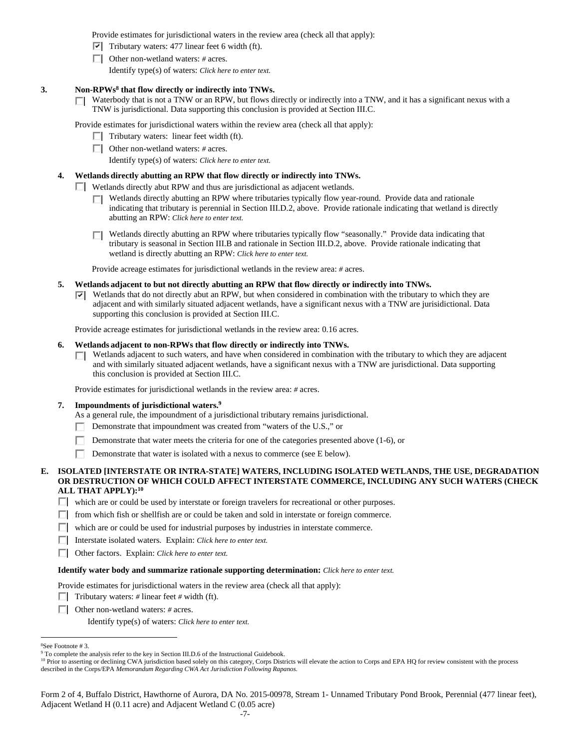Provide estimates for jurisdictional waters in the review area (check all that apply):

- $\triangledown$  Tributary waters: 477 linear feet 6 width (ft).
- Other non-wetland waters: *#* acres.

Identify type(s) of waters: *Click here to enter text.*

## **3. Non-RPWs8 that flow directly or indirectly into TNWs.**

Waterbody that is not a TNW or an RPW, but flows directly or indirectly into a TNW, and it has a significant nexus with a П. TNW is jurisdictional. Data supporting this conclusion is provided at Section III.C.

Provide estimates for jurisdictional waters within the review area (check all that apply):

- $\Box$  Tributary waters: linear feet width (ft).
- Other non-wetland waters: *#* acres.

Identify type(s) of waters: *Click here to enter text.*

## **4. Wetlands directly abutting an RPW that flow directly or indirectly into TNWs.**

**Netlands directly abut RPW and thus are jurisdictional as adjacent wetlands.** 

- Wetlands directly abutting an RPW where tributaries typically flow year-round. Provide data and rationale П indicating that tributary is perennial in Section III.D.2, above. Provide rationale indicating that wetland is directly abutting an RPW: *Click here to enter text.*
- Wetlands directly abutting an RPW where tributaries typically flow "seasonally." Provide data indicating that tributary is seasonal in Section III.B and rationale in Section III.D.2, above. Provide rationale indicating that wetland is directly abutting an RPW: *Click here to enter text.*

Provide acreage estimates for jurisdictional wetlands in the review area: *#* acres.

- **5. Wetlands adjacent to but not directly abutting an RPW that flow directly or indirectly into TNWs.** 
	- $\nabla$  Wetlands that do not directly abut an RPW, but when considered in combination with the tributary to which they are adjacent and with similarly situated adjacent wetlands, have a significant nexus with a TNW are jurisidictional. Data supporting this conclusion is provided at Section III.C.

Provide acreage estimates for jurisdictional wetlands in the review area: 0.16 acres.

### **6. Wetlands adjacent to non-RPWs that flow directly or indirectly into TNWs.**

 $\Box$  Wetlands adjacent to such waters, and have when considered in combination with the tributary to which they are adjacent and with similarly situated adjacent wetlands, have a significant nexus with a TNW are jurisdictional. Data supporting this conclusion is provided at Section III.C.

Provide estimates for jurisdictional wetlands in the review area: *#* acres.

#### **7. Impoundments of jurisdictional waters.9**

- As a general rule, the impoundment of a jurisdictional tributary remains jurisdictional.
- Demonstrate that impoundment was created from "waters of the U.S.," or П.
- 口 Demonstrate that water meets the criteria for one of the categories presented above (1-6), or
- п. Demonstrate that water is isolated with a nexus to commerce (see E below).

### **E. ISOLATED [INTERSTATE OR INTRA-STATE] WATERS, INCLUDING ISOLATED WETLANDS, THE USE, DEGRADATION OR DESTRUCTION OF WHICH COULD AFFECT INTERSTATE COMMERCE, INCLUDING ANY SUCH WATERS (CHECK ALL THAT APPLY):10**

 $\Box$  which are or could be used by interstate or foreign travelers for recreational or other purposes.

- $\Box$  from which fish or shellfish are or could be taken and sold in interstate or foreign commerce.
- $\Box$  which are or could be used for industrial purposes by industries in interstate commerce.

Interstate isolated waters.Explain: *Click here to enter text.*

Other factors.Explain: *Click here to enter text.*

#### **Identify water body and summarize rationale supporting determination:** *Click here to enter text.*

Provide estimates for jurisdictional waters in the review area (check all that apply):

- **Tributary waters:** # linear feet # width (ft).
- Other non-wetland waters: *#* acres.

Identify type(s) of waters: *Click here to enter text.*

8 See Footnote # 3.

 $\overline{a}$ 

<sup>&</sup>lt;sup>9</sup> To complete the analysis refer to the key in Section III.D.6 of the Instructional Guidebook.

<sup>&</sup>lt;sup>10</sup> Prior to asserting or declining CWA jurisdiction based solely on this category, Corps Districts will elevate the action to Corps and EPA HQ for review consistent with the process described in the Corps/EPA *Memorandum Regarding CWA Act Jurisdiction Following Rapanos.*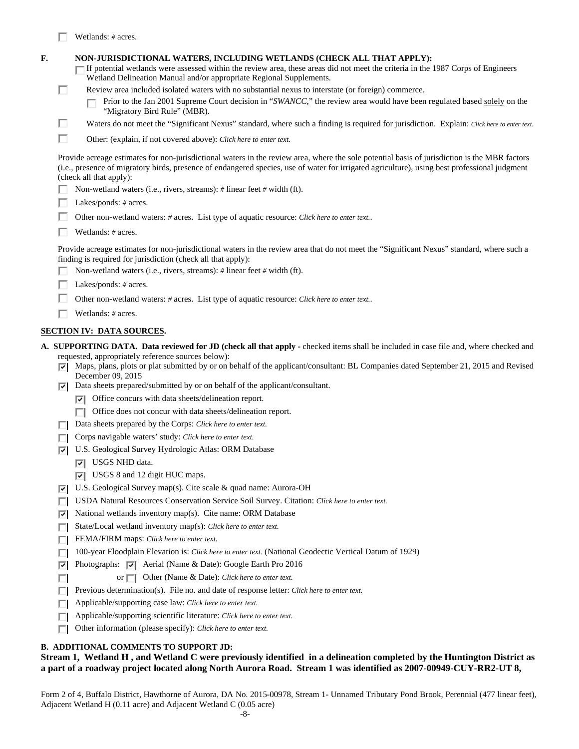|    |   | Wetlands: $# \, \text{acres.}$                                                                                                                                                                                                                                                                                                                                                                                                                                                                                                                     |
|----|---|----------------------------------------------------------------------------------------------------------------------------------------------------------------------------------------------------------------------------------------------------------------------------------------------------------------------------------------------------------------------------------------------------------------------------------------------------------------------------------------------------------------------------------------------------|
| F. | ш | NON-JURISDICTIONAL WATERS, INCLUDING WETLANDS (CHECK ALL THAT APPLY):<br>If potential wetlands were assessed within the review area, these areas did not meet the criteria in the 1987 Corps of Engineers<br>Wetland Delineation Manual and/or appropriate Regional Supplements.<br>Review area included isolated waters with no substantial nexus to interstate (or foreign) commerce.<br>Prior to the Jan 2001 Supreme Court decision in "SWANCC," the review area would have been regulated based solely on the<br>"Migratory Bird Rule" (MBR). |
|    | ш | Waters do not meet the "Significant Nexus" standard, where such a finding is required for jurisdiction. Explain: Click here to enter text.                                                                                                                                                                                                                                                                                                                                                                                                         |
|    | П | Other: (explain, if not covered above): <i>Click here to enter text</i> .                                                                                                                                                                                                                                                                                                                                                                                                                                                                          |
|    |   | Provide acreage estimates for non-jurisdictional waters in the review area, where the sole potential basis of jurisdiction is the MBR factors<br>(i.e., presence of migratory birds, presence of endangered species, use of water for irrigated agriculture), using best professional judgment<br>(check all that apply):                                                                                                                                                                                                                          |
|    |   | Non-wetland waters (i.e., rivers, streams): $\#$ linear feet $\#$ width (ft).                                                                                                                                                                                                                                                                                                                                                                                                                                                                      |
|    |   | Lakes/ponds: # acres.                                                                                                                                                                                                                                                                                                                                                                                                                                                                                                                              |
|    |   | Other non-wetland waters: # acres. List type of aquatic resource: Click here to enter text                                                                                                                                                                                                                                                                                                                                                                                                                                                         |
|    |   | Wetlands: $#$ acres.                                                                                                                                                                                                                                                                                                                                                                                                                                                                                                                               |
|    |   | Provide acreage estimates for non-jurisdictional waters in the review area that do not meet the "Significant Nexus" standard, where such a<br>finding is required for jurisdiction (check all that apply):<br>Non-wetland waters (i.e., rivers, streams): $\#$ linear feet $\#$ width (ft).<br>Lakes/ponds: $# \, \text{acres.}$                                                                                                                                                                                                                   |
|    |   |                                                                                                                                                                                                                                                                                                                                                                                                                                                                                                                                                    |
|    |   | Other non-wetland waters: # acres. List type of aquatic resource: Click here to enter text                                                                                                                                                                                                                                                                                                                                                                                                                                                         |
|    |   | Wetlands: $#$ acres.                                                                                                                                                                                                                                                                                                                                                                                                                                                                                                                               |
|    |   | <b>SECTION IV: DATA SOURCES.</b>                                                                                                                                                                                                                                                                                                                                                                                                                                                                                                                   |
|    | ⊡ | A. SUPPORTING DATA. Data reviewed for JD (check all that apply - checked items shall be included in case file and, where checked and<br>requested, appropriately reference sources below):<br>Maps, plans, plots or plat submitted by or on behalf of the applicant/consultant: BL Companies dated September 21, 2015 and Revised<br>December 09, 2015                                                                                                                                                                                             |
|    |   | $\nabla$ Data sheets prepared/submitted by or on behalf of the applicant/consultant.                                                                                                                                                                                                                                                                                                                                                                                                                                                               |
|    |   | $ \vec{v} $ Office concurs with data sheets/delineation report.                                                                                                                                                                                                                                                                                                                                                                                                                                                                                    |
|    |   | Office does not concur with data sheets/delineation report.                                                                                                                                                                                                                                                                                                                                                                                                                                                                                        |
|    |   | Data sheets prepared by the Corps: Click here to enter text.                                                                                                                                                                                                                                                                                                                                                                                                                                                                                       |
|    |   | Corps navigable waters' study: Click here to enter text.                                                                                                                                                                                                                                                                                                                                                                                                                                                                                           |
|    | ⊡ | U.S. Geological Survey Hydrologic Atlas: ORM Database                                                                                                                                                                                                                                                                                                                                                                                                                                                                                              |
|    |   | $ \overline{\mathbf{v}} $ USGS NHD data.                                                                                                                                                                                                                                                                                                                                                                                                                                                                                                           |
|    |   | $ \nabla $ USGS 8 and 12 digit HUC maps.                                                                                                                                                                                                                                                                                                                                                                                                                                                                                                           |
|    |   | $\Box$ II.C. Coological Currier man(c) $C_{12}$ and $\ell_1$ and name August OII                                                                                                                                                                                                                                                                                                                                                                                                                                                                   |

- U.S. Geological Survey map(s). Cite scale & quad name: Aurora-OH
- USDA Natural Resources Conservation Service Soil Survey. Citation: *Click here to enter text.*
- $\nabla$  National wetlands inventory map(s). Cite name: ORM Database
- State/Local wetland inventory map(s): *Click here to enter text.*
- FEMA/FIRM maps: *Click here to enter text*.
- 100-year Floodplain Elevation is: *Click here to enter text.* (National Geodectic Vertical Datum of 1929)
- $|\nabla|$  Photographs:  $|\nabla|$  Aerial (Name & Date): Google Earth Pro 2016
- or  $\Box$  Other (Name & Date): *Click here to enter text.*  $\Box$
- **Previous determination(s). File no. and date of response letter:** *Click here to enter text.*
- Applicable/supporting case law: *Click here to enter text.*
- Applicable/supporting scientific literature: *Click here to enter text.*
- Other information (please specify): *Click here to enter text.*

## **B. ADDITIONAL COMMENTS TO SUPPORT JD:**

## **Stream 1, Wetland H , and Wetland C were previously identified in a delineation completed by the Huntington District as a part of a roadway project located along North Aurora Road. Stream 1 was identified as 2007-00949-CUY-RR2-UT 8,**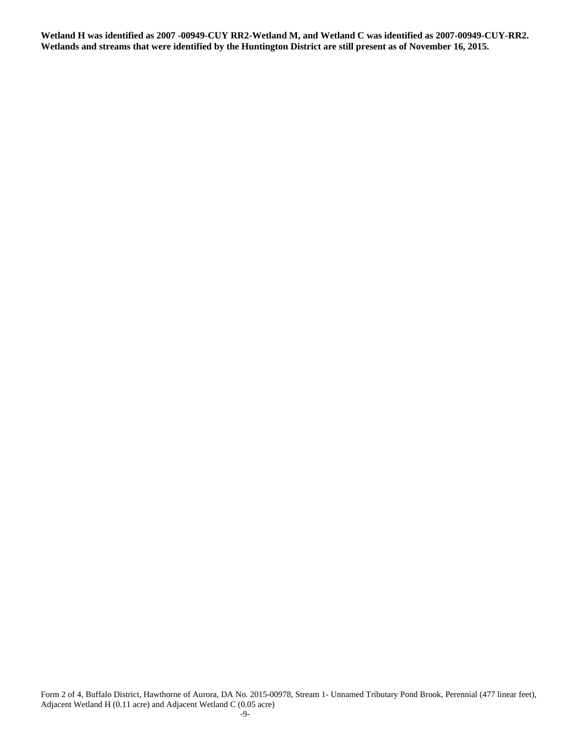**Wetland H was identified as 2007 -00949-CUY RR2-Wetland M, and Wetland C was identified as 2007-00949-CUY-RR2. Wetlands and streams that were identified by the Huntington District are still present as of November 16, 2015.**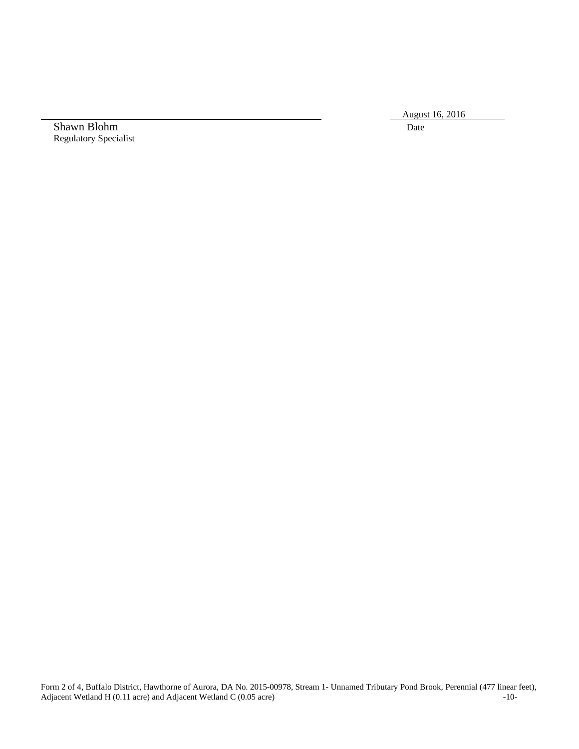August 16, 2016

Shawn Blohm Date Regulatory Specialist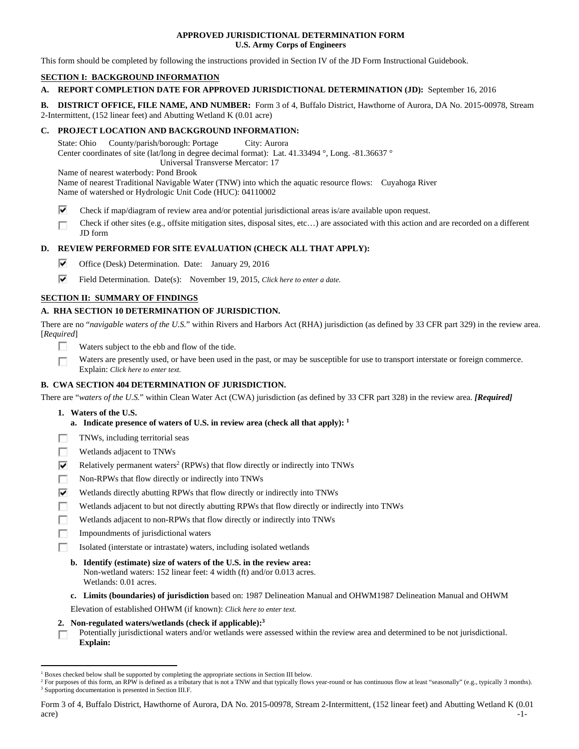## **APPROVED JURISDICTIONAL DETERMINATION FORM U.S. Army Corps of Engineers**

This form should be completed by following the instructions provided in Section IV of the JD Form Instructional Guidebook.

## **SECTION I: BACKGROUND INFORMATION**

## **A. REPORT COMPLETION DATE FOR APPROVED JURISDICTIONAL DETERMINATION (JD):** September 16, 2016

**B. DISTRICT OFFICE, FILE NAME, AND NUMBER:** Form 3 of 4, Buffalo District, Hawthorne of Aurora, DA No. 2015-00978, Stream 2-Intermittent, (152 linear feet) and Abutting Wetland K (0.01 acre)

## **C. PROJECT LOCATION AND BACKGROUND INFORMATION:**

State: Ohio County/parish/borough: Portage City: Aurora Center coordinates of site (lat/long in degree decimal format): Lat. 41.33494 °, Long. -81.36637 ° Universal Transverse Mercator: 17

Name of nearest waterbody: Pond Brook

Name of nearest Traditional Navigable Water (TNW) into which the aquatic resource flows: Cuyahoga River Name of watershed or Hydrologic Unit Code (HUC): 04110002

- ⊽ Check if map/diagram of review area and/or potential jurisdictional areas is/are available upon request.
- Check if other sites (e.g., offsite mitigation sites, disposal sites, etc…) are associated with this action and are recorded on a different г JD form

## **D. REVIEW PERFORMED FOR SITE EVALUATION (CHECK ALL THAT APPLY):**

- ⊽. Office (Desk) Determination. Date: January 29, 2016
- ⊽. Field Determination. Date(s): November 19, 2015, *Click here to enter a date.*

## **SECTION II: SUMMARY OF FINDINGS**

## **A. RHA SECTION 10 DETERMINATION OF JURISDICTION.**

There are no "*navigable waters of the U.S.*" within Rivers and Harbors Act (RHA) jurisdiction (as defined by 33 CFR part 329) in the review area. [*Required*]

- Waters subject to the ebb and flow of the tide. п
- Waters are presently used, or have been used in the past, or may be susceptible for use to transport interstate or foreign commerce. П Explain: *Click here to enter text.*

## **B. CWA SECTION 404 DETERMINATION OF JURISDICTION.**

There are "*waters of the U.S.*" within Clean Water Act (CWA) jurisdiction (as defined by 33 CFR part 328) in the review area. *[Required]*

- **1. Waters of the U.S.** 
	- **a. Indicate presence of waters of U.S. in review area (check all that apply): 1**
- TNWs, including territorial seas Е
- Wetlands adjacent to TNWs п
- ⊽ Relatively permanent waters<sup>2</sup> (RPWs) that flow directly or indirectly into TNWs
- г Non-RPWs that flow directly or indirectly into TNWs
- Wetlands directly abutting RPWs that flow directly or indirectly into TNWs ⊽
- п Wetlands adjacent to but not directly abutting RPWs that flow directly or indirectly into TNWs
- г Wetlands adjacent to non-RPWs that flow directly or indirectly into TNWs
- п Impoundments of jurisdictional waters
- Isolated (interstate or intrastate) waters, including isolated wetlands п
	- **b. Identify (estimate) size of waters of the U.S. in the review area:**  Non-wetland waters: 152 linear feet: 4 width (ft) and/or 0.013 acres. Wetlands: 0.01 acres.
	- **c. Limits (boundaries) of jurisdiction** based on: 1987 Delineation Manual and OHWM1987 Delineation Manual and OHWM

Elevation of established OHWM (if known): *Click here to enter text.*

- **2. Non-regulated waters/wetlands (check if applicable):3**
- Potentially jurisdictional waters and/or wetlands were assessed within the review area and determined to be not jurisdictional. П **Explain:**

 $\overline{a}$ <sup>1</sup> Boxes checked below shall be supported by completing the appropriate sections in Section III below.<br><sup>2</sup> For purposes of this form, an PPW is defined as a tributary that is not a TNW and that typically flows

<sup>&</sup>lt;sup>2</sup> For purposes of this form, an RPW is defined as a tributary that is not a TNW and that typically flows year-round or has continuous flow at least "seasonally" (e.g., typically 3 months). <sup>3</sup> Supporting documentation is presented in Section III.F.

Form 3 of 4, Buffalo District, Hawthorne of Aurora, DA No. 2015-00978, Stream 2-Intermittent, (152 linear feet) and Abutting Wetland K (0.01  $\alpha$  -1-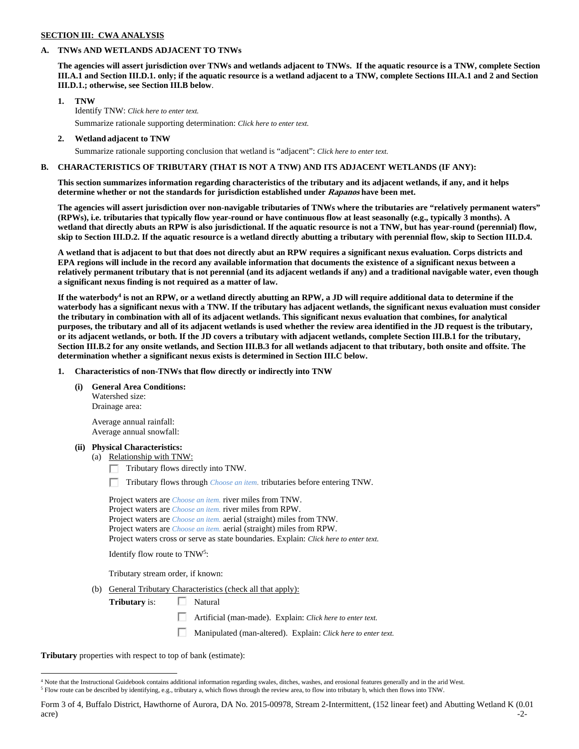## **SECTION III: CWA ANALYSIS**

## **A. TNWs AND WETLANDS ADJACENT TO TNWs**

**The agencies will assert jurisdiction over TNWs and wetlands adjacent to TNWs. If the aquatic resource is a TNW, complete Section III.A.1 and Section III.D.1. only; if the aquatic resource is a wetland adjacent to a TNW, complete Sections III.A.1 and 2 and Section III.D.1.; otherwise, see Section III.B below**.

## **1. TNW**

 Identify TNW: *Click here to enter text.* Summarize rationale supporting determination: *Click here to enter text.*

 **2. Wetland adjacent to TNW** 

Summarize rationale supporting conclusion that wetland is "adjacent": *Click here to enter text.*

### **B. CHARACTERISTICS OF TRIBUTARY (THAT IS NOT A TNW) AND ITS ADJACENT WETLANDS (IF ANY):**

**This section summarizes information regarding characteristics of the tributary and its adjacent wetlands, if any, and it helps determine whether or not the standards for jurisdiction established under Rapanos have been met.** 

**The agencies will assert jurisdiction over non-navigable tributaries of TNWs where the tributaries are "relatively permanent waters" (RPWs), i.e. tributaries that typically flow year-round or have continuous flow at least seasonally (e.g., typically 3 months). A wetland that directly abuts an RPW is also jurisdictional. If the aquatic resource is not a TNW, but has year-round (perennial) flow, skip to Section III.D.2. If the aquatic resource is a wetland directly abutting a tributary with perennial flow, skip to Section III.D.4.** 

**A wetland that is adjacent to but that does not directly abut an RPW requires a significant nexus evaluation. Corps districts and EPA regions will include in the record any available information that documents the existence of a significant nexus between a relatively permanent tributary that is not perennial (and its adjacent wetlands if any) and a traditional navigable water, even though a significant nexus finding is not required as a matter of law.** 

If the waterbody<sup>4</sup> is not an RPW, or a wetland directly abutting an RPW, a JD will require additional data to determine if the **waterbody has a significant nexus with a TNW. If the tributary has adjacent wetlands, the significant nexus evaluation must consider the tributary in combination with all of its adjacent wetlands. This significant nexus evaluation that combines, for analytical purposes, the tributary and all of its adjacent wetlands is used whether the review area identified in the JD request is the tributary, or its adjacent wetlands, or both. If the JD covers a tributary with adjacent wetlands, complete Section III.B.1 for the tributary, Section III.B.2 for any onsite wetlands, and Section III.B.3 for all wetlands adjacent to that tributary, both onsite and offsite. The determination whether a significant nexus exists is determined in Section III.C below.** 

 **1. Characteristics of non-TNWs that flow directly or indirectly into TNW** 

#### **(i) General Area Conditions:**

 Watershed size: Drainage area:

 Average annual rainfall: Average annual snowfall:

## **(ii) Physical Characteristics:**

(a) Relationship with TNW:

 $\Box$  Tributary flows directly into TNW.

п Tributary flows through *Choose an item.* tributaries before entering TNW.

 Project waters are *Choose an item.* river miles from TNW. Project waters are *Choose an item.* river miles from RPW. Project waters are *Choose an item.* aerial (straight) miles from TNW. Project waters are *Choose an item.* aerial (straight) miles from RPW. Project waters cross or serve as state boundaries. Explain: *Click here to enter text.*

Identify flow route to TNW5:

Tributary stream order, if known:

(b) General Tributary Characteristics (check all that apply):

**Tributary** is:  $\Box$  Natural

Artificial (man-made). Explain: *Click here to enter text.*

П Manipulated (man-altered). Explain: *Click here to enter text.*

**Tributary** properties with respect to top of bank (estimate):

Form 3 of 4, Buffalo District, Hawthorne of Aurora, DA No. 2015-00978, Stream 2-Intermittent, (152 linear feet) and Abutting Wetland K (0.01  $\alpha$  -2-

 $\overline{a}$ <sup>4</sup> Note that the Instructional Guidebook contains additional information regarding swales, ditches, washes, and erosional features generally and in the arid West.  $^5$  Flow route can be described by identifying, e.g., tributary a, which flows through the review area, to flow into tributary b, which then flows into TNW.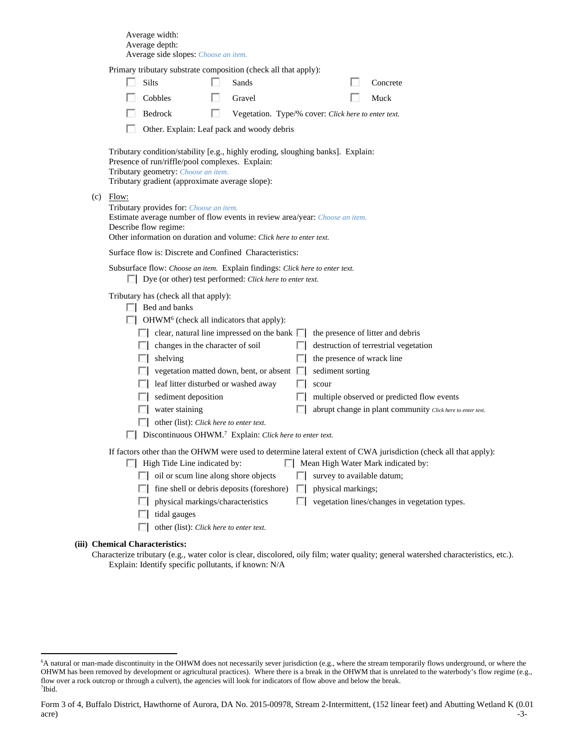Average width: Average depth: Average side slopes: *Choose an item.*

Primary tributary substrate composition (check all that apply):

|             | thouter, substitute composition<br>Silts                                                                                                                                                                                                                                                                                                                                                                                                                                                                                                                                                      |   | Sands                                               |          |                                                         | Concrete                                                                                                                                                                                                       |
|-------------|-----------------------------------------------------------------------------------------------------------------------------------------------------------------------------------------------------------------------------------------------------------------------------------------------------------------------------------------------------------------------------------------------------------------------------------------------------------------------------------------------------------------------------------------------------------------------------------------------|---|-----------------------------------------------------|----------|---------------------------------------------------------|----------------------------------------------------------------------------------------------------------------------------------------------------------------------------------------------------------------|
|             | Cobbles                                                                                                                                                                                                                                                                                                                                                                                                                                                                                                                                                                                       |   | Gravel                                              |          |                                                         | Muck                                                                                                                                                                                                           |
|             | Bedrock                                                                                                                                                                                                                                                                                                                                                                                                                                                                                                                                                                                       | ш | Vegetation. Type/% cover: Click here to enter text. |          |                                                         |                                                                                                                                                                                                                |
|             |                                                                                                                                                                                                                                                                                                                                                                                                                                                                                                                                                                                               |   | Other. Explain: Leaf pack and woody debris          |          |                                                         |                                                                                                                                                                                                                |
| $(c)$ Flow: | Tributary condition/stability [e.g., highly eroding, sloughing banks]. Explain:<br>Presence of run/riffle/pool complexes. Explain:<br>Tributary geometry: Choose an item.<br>Tributary gradient (approximate average slope):<br>Tributary provides for: Choose an item.<br>Estimate average number of flow events in review area/year: Choose an item.<br>Describe flow regime:<br>Other information on duration and volume: Click here to enter text.                                                                                                                                        |   |                                                     |          |                                                         |                                                                                                                                                                                                                |
|             | Surface flow is: Discrete and Confined Characteristics:                                                                                                                                                                                                                                                                                                                                                                                                                                                                                                                                       |   |                                                     |          |                                                         |                                                                                                                                                                                                                |
|             | Subsurface flow: Choose an item. Explain findings: Click here to enter text.<br>$\Box$ Dye (or other) test performed: Click here to enter text.                                                                                                                                                                                                                                                                                                                                                                                                                                               |   |                                                     |          |                                                         |                                                                                                                                                                                                                |
|             | Tributary has (check all that apply):<br>$\Box$ Bed and banks<br>$\Box$ OHWM <sup>6</sup> (check all indicators that apply):<br>$\Box$ clear, natural line impressed on the bank $\Box$ the presence of litter and debris<br>$\Box$ changes in the character of soil<br>$\Box$ shelving<br>$\Box$ vegetation matted down, bent, or absent $\Box$<br>$\Box$ leaf litter disturbed or washed away<br>$\Box$ sediment deposition<br>$\Box$ water staining<br>$\Box$ other (list): <i>Click here to enter text.</i><br>$\Box$ Discontinuous OHWM. <sup>7</sup> Explain: Click here to enter text. |   |                                                     | ПL.<br>ш | the presence of wrack line<br>sediment sorting<br>scour | $\Box$ destruction of terrestrial vegetation<br>multiple observed or predicted flow events<br>abrupt change in plant community Click here to enter text.                                                       |
|             | $\Box$ High Tide Line indicated by:<br>$\Box$ oil or scum line along shore objects<br>$\Box$ fine shell or debris deposits (foreshore) $\Box$ physical markings;<br>physical markings/characteristics<br>tidal gauges<br>other (list): Click here to enter text.                                                                                                                                                                                                                                                                                                                              |   |                                                     | ПL.      | $\Box$ survey to available datum;                       | If factors other than the OHWM were used to determine lateral extent of CWA jurisdiction (check all that apply):<br>$\Box$ Mean High Water Mark indicated by:<br>vegetation lines/changes in vegetation types. |

### **(iii) Chemical Characteristics:**

 $\overline{a}$ 

Characterize tributary (e.g., water color is clear, discolored, oily film; water quality; general watershed characteristics, etc.). Explain: Identify specific pollutants, if known: N/A

<sup>6</sup> A natural or man-made discontinuity in the OHWM does not necessarily sever jurisdiction (e.g., where the stream temporarily flows underground, or where the OHWM has been removed by development or agricultural practices). Where there is a break in the OHWM that is unrelated to the waterbody's flow regime (e.g., flow over a rock outcrop or through a culvert), the agencies will look for indicators of flow above and below the break. 7 Ibid.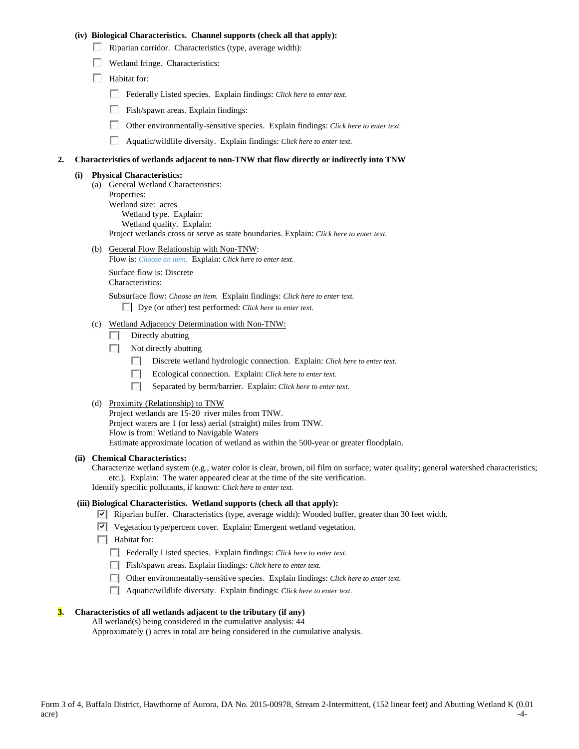### **(iv) Biological Characteristics. Channel supports (check all that apply):**

- $\Box$  Riparian corridor. Characteristics (type, average width):
- Wetland fringe. Characteristics:
- $\Box$  Habitat for:
	- Federally Listed species. Explain findings: *Click here to enter text.*
	- п. Fish/spawn areas. Explain findings:
	- П. Other environmentally-sensitive species. Explain findings: *Click here to enter text.*
	- п. Aquatic/wildlife diversity. Explain findings: *Click here to enter text.*

#### **2. Characteristics of wetlands adjacent to non-TNW that flow directly or indirectly into TNW**

#### **(i) Physical Characteristics:**

- (a) General Wetland Characteristics:
	- Properties: Wetland size: acres Wetland type. Explain: Wetland quality. Explain: Project wetlands cross or serve as state boundaries. Explain: *Click here to enter text.*
- (b) General Flow Relationship with Non-TNW: Flow is: *Choose an item.* Explain: *Click here to enter text.*

 Surface flow is: Discrete Characteristics:

Subsurface flow: *Choose an item.* Explain findings: *Click here to enter text.*

Dye (or other) test performed: *Click here to enter text.*

- (c) Wetland Adjacency Determination with Non-TNW:
	- $\Box$  Directly abutting
	- $\Box$  Not directly abutting
		- п. Discrete wetland hydrologic connection. Explain: *Click here to enter text.*
		- Ecological connection. Explain: *Click here to enter text.* O.
		- П. Separated by berm/barrier. Explain: *Click here to enter text.*
- (d) Proximity (Relationship) to TNW

Project wetlands are 15-20 river miles from TNW. Project waters are 1 (or less) aerial (straight) miles from TNW. Flow is from: Wetland to Navigable Waters Estimate approximate location of wetland as within the 500-year or greater floodplain.

### **(ii) Chemical Characteristics:**

Characterize wetland system (e.g., water color is clear, brown, oil film on surface; water quality; general watershed characteristics; etc.). Explain: The water appeared clear at the time of the site verification. Identify specific pollutants, if known: *Click here to enter text.*

### **(iii) Biological Characteristics. Wetland supports (check all that apply):**

- Riparian buffer. Characteristics (type, average width): Wooded buffer, greater than 30 feet width.
- $\triangledown$  Vegetation type/percent cover. Explain: Emergent wetland vegetation.
- $\Box$  Habitat for:
	- Federally Listed species. Explain findings: *Click here to enter text*.
	- Fish/spawn areas. Explain findings: *Click here to enter text*.
	- Other environmentally-sensitive species. Explain findings: *Click here to enter text.*
	- Aquatic/wildlife diversity. Explain findings: *Click here to enter text.*

#### **3. Characteristics of all wetlands adjacent to the tributary (if any)**

All wetland(s) being considered in the cumulative analysis: 44

Approximately () acres in total are being considered in the cumulative analysis.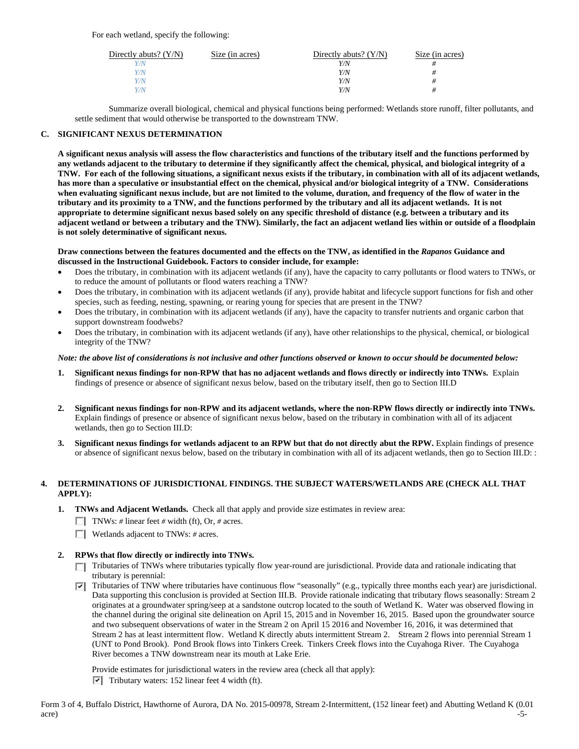| Directly abuts? $(Y/N)$ | Size (in acres) | Directly abuts? $(Y/N)$ | Size (in acres) |
|-------------------------|-----------------|-------------------------|-----------------|
| Y/N                     |                 | Y/N                     |                 |
| V/N                     |                 | Y/N                     | #               |
| Y/N                     |                 | Y/N                     |                 |
| Y/N                     |                 | Y/N                     | #               |
|                         |                 |                         |                 |

 Summarize overall biological, chemical and physical functions being performed: Wetlands store runoff, filter pollutants, and settle sediment that would otherwise be transported to the downstream TNW.

#### **C. SIGNIFICANT NEXUS DETERMINATION**

**A significant nexus analysis will assess the flow characteristics and functions of the tributary itself and the functions performed by any wetlands adjacent to the tributary to determine if they significantly affect the chemical, physical, and biological integrity of a TNW. For each of the following situations, a significant nexus exists if the tributary, in combination with all of its adjacent wetlands, has more than a speculative or insubstantial effect on the chemical, physical and/or biological integrity of a TNW. Considerations when evaluating significant nexus include, but are not limited to the volume, duration, and frequency of the flow of water in the tributary and its proximity to a TNW, and the functions performed by the tributary and all its adjacent wetlands. It is not appropriate to determine significant nexus based solely on any specific threshold of distance (e.g. between a tributary and its adjacent wetland or between a tributary and the TNW). Similarly, the fact an adjacent wetland lies within or outside of a floodplain is not solely determinative of significant nexus.** 

#### **Draw connections between the features documented and the effects on the TNW, as identified in the** *Rapanos* **Guidance and discussed in the Instructional Guidebook. Factors to consider include, for example:**

- Does the tributary, in combination with its adjacent wetlands (if any), have the capacity to carry pollutants or flood waters to TNWs, or to reduce the amount of pollutants or flood waters reaching a TNW?
- Does the tributary, in combination with its adjacent wetlands (if any), provide habitat and lifecycle support functions for fish and other species, such as feeding, nesting, spawning, or rearing young for species that are present in the TNW?
- Does the tributary, in combination with its adjacent wetlands (if any), have the capacity to transfer nutrients and organic carbon that support downstream foodwebs?
- Does the tributary, in combination with its adjacent wetlands (if any), have other relationships to the physical, chemical, or biological integrity of the TNW?

### *Note: the above list of considerations is not inclusive and other functions observed or known to occur should be documented below:*

- **1. Significant nexus findings for non-RPW that has no adjacent wetlands and flows directly or indirectly into TNWs.** Explain findings of presence or absence of significant nexus below, based on the tributary itself, then go to Section III.D
- **2. Significant nexus findings for non-RPW and its adjacent wetlands, where the non-RPW flows directly or indirectly into TNWs.**  Explain findings of presence or absence of significant nexus below, based on the tributary in combination with all of its adjacent wetlands, then go to Section III.D:
- **3. Significant nexus findings for wetlands adjacent to an RPW but that do not directly abut the RPW.** Explain findings of presence or absence of significant nexus below, based on the tributary in combination with all of its adjacent wetlands, then go to Section III.D: :

## **4. DETERMINATIONS OF JURISDICTIONAL FINDINGS. THE SUBJECT WATERS/WETLANDS ARE (CHECK ALL THAT APPLY):**

- **1. TNWs and Adjacent Wetlands.** Check all that apply and provide size estimates in review area:
	- TNWs: # linear feet # width (ft), Or, # acres.
	- Wetlands adjacent to TNWs: *#* acres.

## **2. RPWs that flow directly or indirectly into TNWs.**

- Tributaries of TNWs where tributaries typically flow year-round are jurisdictional. Provide data and rationale indicating that tributary is perennial:
- Tributaries of TNW where tributaries have continuous flow "seasonally" (e.g., typically three months each year) are jurisdictional. ⊽ Data supporting this conclusion is provided at Section III.B. Provide rationale indicating that tributary flows seasonally: Stream 2 originates at a groundwater spring/seep at a sandstone outcrop located to the south of Wetland K. Water was observed flowing in the channel during the original site delineation on April 15, 2015 and in November 16, 2015. Based upon the groundwater source and two subsequent observations of water in the Stream 2 on April 15 2016 and November 16, 2016, it was determined that Stream 2 has at least intermittent flow. Wetland K directly abuts intermittent Stream 2. Stream 2 flows into perennial Stream 1 (UNT to Pond Brook). Pond Brook flows into Tinkers Creek. Tinkers Creek flows into the Cuyahoga River. The Cuyahoga River becomes a TNW downstream near its mouth at Lake Erie.

Provide estimates for jurisdictional waters in the review area (check all that apply):

 $\triangledown$  Tributary waters: 152 linear feet 4 width (ft).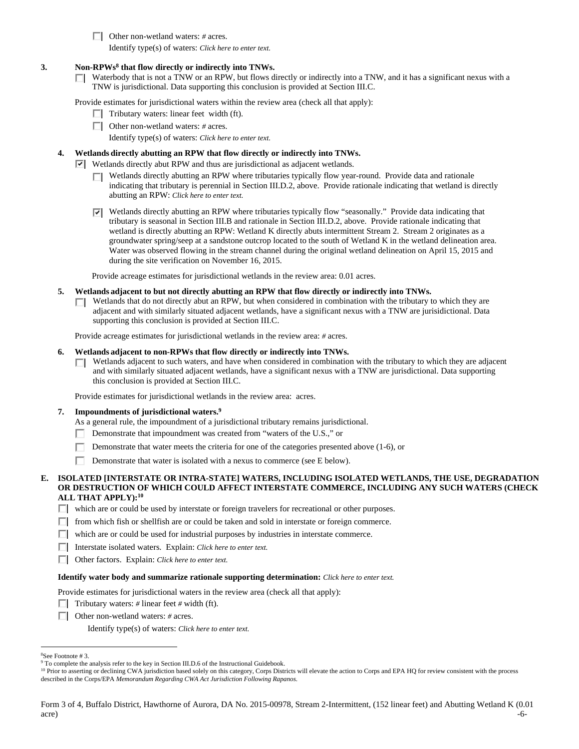Other non-wetland waters: *#* acres.

Identify type(s) of waters: *Click here to enter text.*

## **3. Non-RPWs8 that flow directly or indirectly into TNWs.**

 $\Box$  Waterbody that is not a TNW or an RPW, but flows directly or indirectly into a TNW, and it has a significant nexus with a TNW is jurisdictional. Data supporting this conclusion is provided at Section III.C.

Provide estimates for jurisdictional waters within the review area (check all that apply):

- $\Box$  Tributary waters: linear feet width (ft).
- Other non-wetland waters: *#* acres.
	- Identify type(s) of waters: *Click here to enter text.*

## **4. Wetlands directly abutting an RPW that flow directly or indirectly into TNWs.**

- **Wetlands directly abut RPW and thus are jurisdictional as adjacent wetlands.** 
	- Wetlands directly abutting an RPW where tributaries typically flow year-round. Provide data and rationale П. indicating that tributary is perennial in Section III.D.2, above. Provide rationale indicating that wetland is directly abutting an RPW: *Click here to enter text.*
	- Wetlands directly abutting an RPW where tributaries typically flow "seasonally." Provide data indicating that tributary is seasonal in Section III.B and rationale in Section III.D.2, above. Provide rationale indicating that wetland is directly abutting an RPW: Wetland K directly abuts intermittent Stream 2. Stream 2 originates as a groundwater spring/seep at a sandstone outcrop located to the south of Wetland K in the wetland delineation area. Water was observed flowing in the stream channel during the original wetland delineation on April 15, 2015 and during the site verification on November 16, 2015.

Provide acreage estimates for jurisdictional wetlands in the review area: 0.01 acres.

- **5. Wetlands adjacent to but not directly abutting an RPW that flow directly or indirectly into TNWs.** 
	- Wetlands that do not directly abut an RPW, but when considered in combination with the tributary to which they are П adjacent and with similarly situated adjacent wetlands, have a significant nexus with a TNW are jurisidictional. Data supporting this conclusion is provided at Section III.C.

Provide acreage estimates for jurisdictional wetlands in the review area: *#* acres.

#### **6. Wetlands adjacent to non-RPWs that flow directly or indirectly into TNWs.**

Wetlands adjacent to such waters, and have when considered in combination with the tributary to which they are adjacent П and with similarly situated adjacent wetlands, have a significant nexus with a TNW are jurisdictional. Data supporting this conclusion is provided at Section III.C.

Provide estimates for jurisdictional wetlands in the review area: acres.

#### **7. Impoundments of jurisdictional waters.9**

As a general rule, the impoundment of a jurisdictional tributary remains jurisdictional.

- Demonstrate that impoundment was created from "waters of the U.S.," or
- Г Demonstrate that water meets the criteria for one of the categories presented above (1-6), or
- п Demonstrate that water is isolated with a nexus to commerce (see E below).

## **E. ISOLATED [INTERSTATE OR INTRA-STATE] WATERS, INCLUDING ISOLATED WETLANDS, THE USE, DEGRADATION OR DESTRUCTION OF WHICH COULD AFFECT INTERSTATE COMMERCE, INCLUDING ANY SUCH WATERS (CHECK ALL THAT APPLY):10**

which are or could be used by interstate or foreign travelers for recreational or other purposes.

- $\Box$  from which fish or shellfish are or could be taken and sold in interstate or foreign commerce.
- which are or could be used for industrial purposes by industries in interstate commerce.
- Interstate isolated waters.Explain: *Click here to enter text.*
- Other factors.Explain: *Click here to enter text.*

#### **Identify water body and summarize rationale supporting determination:** *Click here to enter text.*

Provide estimates for jurisdictional waters in the review area (check all that apply):

- Tributary waters:  $\#$  linear feet  $\#$  width (ft).
- Other non-wetland waters: *#* acres.

Identify type(s) of waters: *Click here to enter text.*

<sup>10</sup> Prior to asserting or declining CWA jurisdiction based solely on this category, Corps Districts will elevate the action to Corps and EPA HQ for review consistent with the process described in the Corps/EPA *Memorandum Regarding CWA Act Jurisdiction Following Rapanos.*

 $\overline{a}$ 8 See Footnote # 3.

<sup>&</sup>lt;sup>9</sup> To complete the analysis refer to the key in Section III.D.6 of the Instructional Guidebook.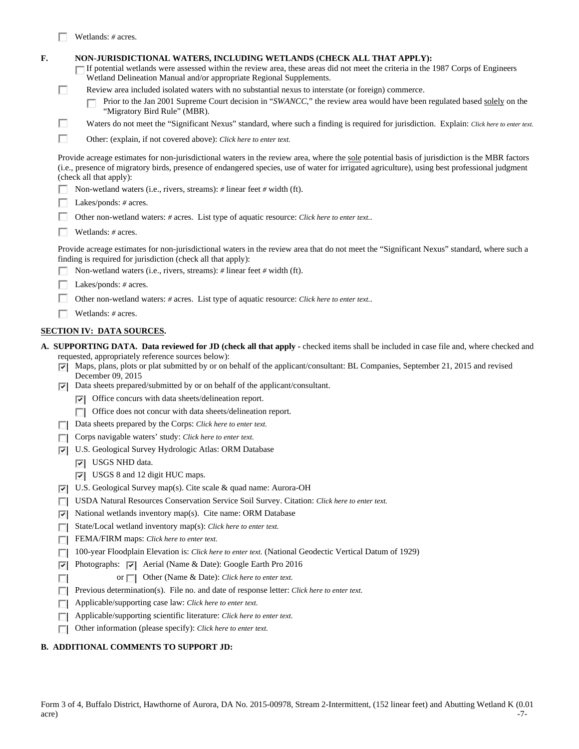|    |    | Wetlands: # acres.                                                                                                                                                                                                                                                                                                                                                                                                                                                                                                 |
|----|----|--------------------------------------------------------------------------------------------------------------------------------------------------------------------------------------------------------------------------------------------------------------------------------------------------------------------------------------------------------------------------------------------------------------------------------------------------------------------------------------------------------------------|
| F. | п  | NON-JURISDICTIONAL WATERS, INCLUDING WETLANDS (CHECK ALL THAT APPLY):<br>If potential wetlands were assessed within the review area, these areas did not meet the criteria in the 1987 Corps of Engineers<br>Wetland Delineation Manual and/or appropriate Regional Supplements.<br>Review area included isolated waters with no substantial nexus to interstate (or foreign) commerce.<br>Prior to the Jan 2001 Supreme Court decision in "SWANCC," the review area would have been regulated based solely on the |
|    | п  | "Migratory Bird Rule" (MBR).<br>Waters do not meet the "Significant Nexus" standard, where such a finding is required for jurisdiction. Explain: Click here to enter text.                                                                                                                                                                                                                                                                                                                                         |
|    | П  |                                                                                                                                                                                                                                                                                                                                                                                                                                                                                                                    |
|    |    | Other: (explain, if not covered above): Click here to enter text.                                                                                                                                                                                                                                                                                                                                                                                                                                                  |
|    |    | Provide acreage estimates for non-jurisdictional waters in the review area, where the sole potential basis of jurisdiction is the MBR factors<br>(i.e., presence of migratory birds, presence of endangered species, use of water for irrigated agriculture), using best professional judgment<br>(check all that apply):                                                                                                                                                                                          |
|    |    | Non-wetland waters (i.e., rivers, streams): # linear feet # width (ft).                                                                                                                                                                                                                                                                                                                                                                                                                                            |
|    |    | Lakes/ponds: # acres.                                                                                                                                                                                                                                                                                                                                                                                                                                                                                              |
|    |    | Other non-wetland waters: # acres. List type of aquatic resource: Click here to enter text                                                                                                                                                                                                                                                                                                                                                                                                                         |
|    |    | Wetlands: $#$ acres.                                                                                                                                                                                                                                                                                                                                                                                                                                                                                               |
|    |    | Provide acreage estimates for non-jurisdictional waters in the review area that do not meet the "Significant Nexus" standard, where such a<br>finding is required for jurisdiction (check all that apply):                                                                                                                                                                                                                                                                                                         |
|    |    | Non-wetland waters (i.e., rivers, streams): # linear feet # width (ft).                                                                                                                                                                                                                                                                                                                                                                                                                                            |
|    |    | Lakes/ponds: # acres.                                                                                                                                                                                                                                                                                                                                                                                                                                                                                              |
|    |    | Other non-wetland waters: # acres. List type of aquatic resource: Click here to enter text                                                                                                                                                                                                                                                                                                                                                                                                                         |
|    |    | Wetlands: # acres.                                                                                                                                                                                                                                                                                                                                                                                                                                                                                                 |
|    |    | <b>SECTION IV: DATA SOURCES.</b>                                                                                                                                                                                                                                                                                                                                                                                                                                                                                   |
|    |    | A. SUPPORTING DATA. Data reviewed for JD (check all that apply - checked items shall be included in case file and, where checked and                                                                                                                                                                                                                                                                                                                                                                               |
|    | ल। | requested, appropriately reference sources below):<br>Maps, plans, plots or plat submitted by or on behalf of the applicant/consultant: BL Companies, September 21, 2015 and revised<br>December 09, 2015                                                                                                                                                                                                                                                                                                          |
|    | ल। | Data sheets prepared/submitted by or on behalf of the applicant/consultant.                                                                                                                                                                                                                                                                                                                                                                                                                                        |
|    |    | $\triangleright$ Office concurs with data sheets/delineation report.                                                                                                                                                                                                                                                                                                                                                                                                                                               |
|    |    | Office does not concur with data sheets/delineation report.<br>ПL.                                                                                                                                                                                                                                                                                                                                                                                                                                                 |
|    |    | Data sheets prepared by the Corps: Click here to enter text.                                                                                                                                                                                                                                                                                                                                                                                                                                                       |
|    |    | Corps navigable waters' study: Click here to enter text.                                                                                                                                                                                                                                                                                                                                                                                                                                                           |
|    | ⊡  | U.S. Geological Survey Hydrologic Atlas: ORM Database                                                                                                                                                                                                                                                                                                                                                                                                                                                              |
|    |    | $ \overline{v} $ USGS NHD data.                                                                                                                                                                                                                                                                                                                                                                                                                                                                                    |
|    |    | $ \nabla $ USGS 8 and 12 digit HUC maps.                                                                                                                                                                                                                                                                                                                                                                                                                                                                           |
|    | ⊡  | U.S. Geological Survey map(s). Cite scale & quad name: Aurora-OH                                                                                                                                                                                                                                                                                                                                                                                                                                                   |
|    |    | USDA Natural Resources Conservation Service Soil Survey. Citation: Click here to enter text.                                                                                                                                                                                                                                                                                                                                                                                                                       |

- $\nabla$  National wetlands inventory map(s). Cite name: ORM Database
- State/Local wetland inventory map(s): *Click here to enter text.*
- FEMA/FIRM maps: *Click here to enter text*.
- 100-year Floodplain Elevation is: *Click here to enter text.* (National Geodectic Vertical Datum of 1929)
- $|\nabla|$  Photographs:  $|\nabla|$  Aerial (Name & Date): Google Earth Pro 2016
- $\Box$ or  $\Box$  Other (Name & Date): *Click here to enter text.*
- **Previous determination(s).** File no. and date of response letter: *Click here to enter text.*
- Applicable/supporting case law: *Click here to enter text.*
- Applicable/supporting scientific literature: *Click here to enter text.*
- Other information (please specify): *Click here to enter text.*

## **B. ADDITIONAL COMMENTS TO SUPPORT JD:**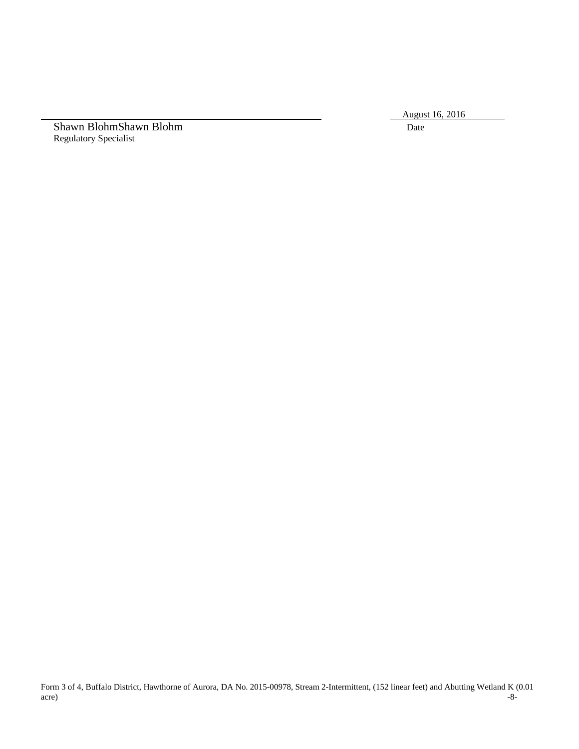August 16, 2016

Shawn BlohmShawn Blohm Date Regulatory Specialist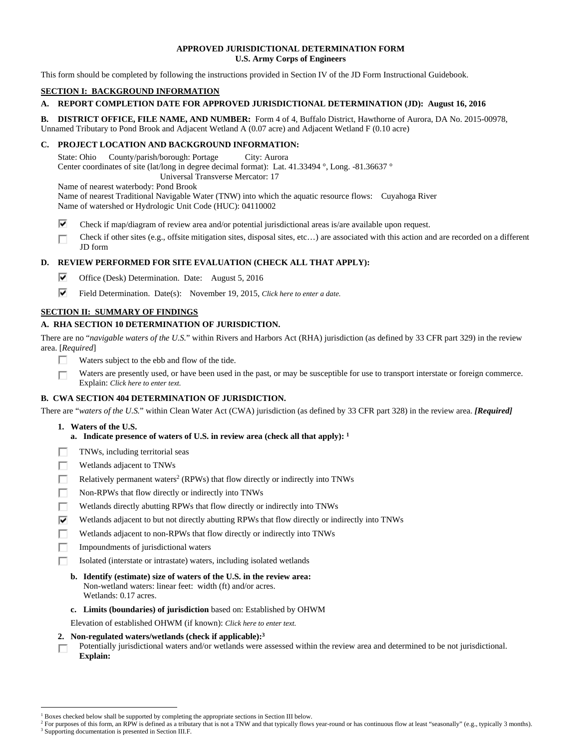## **APPROVED JURISDICTIONAL DETERMINATION FORM U.S. Army Corps of Engineers**

This form should be completed by following the instructions provided in Section IV of the JD Form Instructional Guidebook.

## **SECTION I: BACKGROUND INFORMATION**

# **A. REPORT COMPLETION DATE FOR APPROVED JURISDICTIONAL DETERMINATION (JD): August 16, 2016**

**B. DISTRICT OFFICE, FILE NAME, AND NUMBER:** Form 4 of 4, Buffalo District, Hawthorne of Aurora, DA No. 2015-00978, Unnamed Tributary to Pond Brook and Adjacent Wetland A (0.07 acre) and Adjacent Wetland F (0.10 acre)

## **C. PROJECT LOCATION AND BACKGROUND INFORMATION:**

State: Ohio County/parish/borough: Portage City: Aurora Center coordinates of site (lat/long in degree decimal format): Lat. 41.33494 °, Long. -81.36637 ° Universal Transverse Mercator: 17

Name of nearest waterbody: Pond Brook

Name of nearest Traditional Navigable Water (TNW) into which the aquatic resource flows: Cuyahoga River Name of watershed or Hydrologic Unit Code (HUC): 04110002

- ⊽ Check if map/diagram of review area and/or potential jurisdictional areas is/are available upon request.
- Check if other sites (e.g., offsite mitigation sites, disposal sites, etc…) are associated with this action and are recorded on a different П JD form

## **D. REVIEW PERFORMED FOR SITE EVALUATION (CHECK ALL THAT APPLY):**

- ⊽ Office (Desk) Determination. Date: August 5, 2016
- ⊽⊹ Field Determination. Date(s): November 19, 2015, *Click here to enter a date.*

## **SECTION II: SUMMARY OF FINDINGS**

## **A. RHA SECTION 10 DETERMINATION OF JURISDICTION.**

There are no "*navigable waters of the U.S.*" within Rivers and Harbors Act (RHA) jurisdiction (as defined by 33 CFR part 329) in the review area. [*Required*]

- п Waters subject to the ebb and flow of the tide.
- Waters are presently used, or have been used in the past, or may be susceptible for use to transport interstate or foreign commerce. п Explain: *Click here to enter text.*

## **B. CWA SECTION 404 DETERMINATION OF JURISDICTION.**

There are "*waters of the U.S.*" within Clean Water Act (CWA) jurisdiction (as defined by 33 CFR part 328) in the review area. *[Required]*

### **1. Waters of the U.S.**

 $\overline{a}$ 

- **a. Indicate presence of waters of U.S. in review area (check all that apply): 1**
- TNWs, including territorial seas п
- П Wetlands adjacent to TNWs
- П Relatively permanent waters<sup>2</sup> (RPWs) that flow directly or indirectly into TNWs
- П. Non-RPWs that flow directly or indirectly into TNWs
- п Wetlands directly abutting RPWs that flow directly or indirectly into TNWs
- ⊽ Wetlands adjacent to but not directly abutting RPWs that flow directly or indirectly into TNWs
- г Wetlands adjacent to non-RPWs that flow directly or indirectly into TNWs
- Impoundments of jurisdictional waters П.
- Isolated (interstate or intrastate) waters, including isolated wetlands п
	- **b. Identify (estimate) size of waters of the U.S. in the review area:**  Non-wetland waters: linear feet: width (ft) and/or acres. Wetlands: 0.17 acres.
	- **c. Limits (boundaries) of jurisdiction** based on: Established by OHWM
- Elevation of established OHWM (if known): *Click here to enter text.*
- **2. Non-regulated waters/wetlands (check if applicable):3**
- Potentially jurisdictional waters and/or wetlands were assessed within the review area and determined to be not jurisdictional. п **Explain:**

<sup>&</sup>lt;sup>1</sup> Boxes checked below shall be supported by completing the appropriate sections in Section III below.<br><sup>2</sup> For purposes of this form, an PPW is defined as a tributary that is not a TNW and that typically flows

<sup>&</sup>lt;sup>2</sup> For purposes of this form, an RPW is defined as a tributary that is not a TNW and that typically flows year-round or has continuous flow at least "seasonally" (e.g., typically 3 months). <sup>3</sup> Supporting documentation is presented in Section III.F.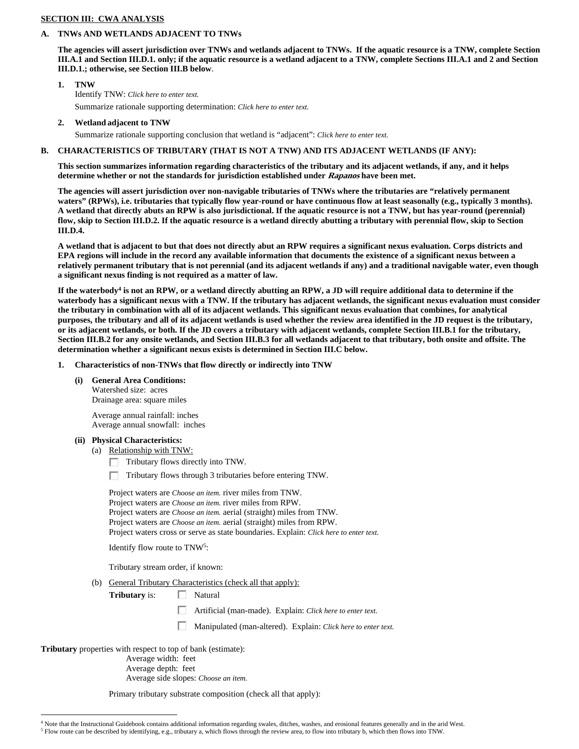## **SECTION III: CWA ANALYSIS**

# **A. TNWs AND WETLANDS ADJACENT TO TNWs**

**The agencies will assert jurisdiction over TNWs and wetlands adjacent to TNWs. If the aquatic resource is a TNW, complete Section III.A.1 and Section III.D.1. only; if the aquatic resource is a wetland adjacent to a TNW, complete Sections III.A.1 and 2 and Section III.D.1.; otherwise, see Section III.B below**.

## **1. TNW**  Identify TNW: *Click here to enter text.* Summarize rationale supporting determination: *Click here to enter text.*

# **2. Wetland adjacent to TNW**

Summarize rationale supporting conclusion that wetland is "adjacent": *Click here to enter text.*

# **B. CHARACTERISTICS OF TRIBUTARY (THAT IS NOT A TNW) AND ITS ADJACENT WETLANDS (IF ANY):**

**This section summarizes information regarding characteristics of the tributary and its adjacent wetlands, if any, and it helps determine whether or not the standards for jurisdiction established under Rapanos have been met.** 

**The agencies will assert jurisdiction over non-navigable tributaries of TNWs where the tributaries are "relatively permanent**  waters" (RPWs), i.e. tributaries that typically flow year-round or have continuous flow at least seasonally (e.g., typically 3 months). **A wetland that directly abuts an RPW is also jurisdictional. If the aquatic resource is not a TNW, but has year-round (perennial) flow, skip to Section III.D.2. If the aquatic resource is a wetland directly abutting a tributary with perennial flow, skip to Section III.D.4.** 

**A wetland that is adjacent to but that does not directly abut an RPW requires a significant nexus evaluation. Corps districts and EPA regions will include in the record any available information that documents the existence of a significant nexus between a relatively permanent tributary that is not perennial (and its adjacent wetlands if any) and a traditional navigable water, even though a significant nexus finding is not required as a matter of law.** 

**If the waterbody4 is not an RPW, or a wetland directly abutting an RPW, a JD will require additional data to determine if the waterbody has a significant nexus with a TNW. If the tributary has adjacent wetlands, the significant nexus evaluation must consider the tributary in combination with all of its adjacent wetlands. This significant nexus evaluation that combines, for analytical purposes, the tributary and all of its adjacent wetlands is used whether the review area identified in the JD request is the tributary, or its adjacent wetlands, or both. If the JD covers a tributary with adjacent wetlands, complete Section III.B.1 for the tributary, Section III.B.2 for any onsite wetlands, and Section III.B.3 for all wetlands adjacent to that tributary, both onsite and offsite. The determination whether a significant nexus exists is determined in Section III.C below.** 

- **1. Characteristics of non-TNWs that flow directly or indirectly into TNW** 
	- **(i) General Area Conditions:**

 Watershed size: acres Drainage area: square miles

 Average annual rainfall: inches Average annual snowfall: inches

# **(ii) Physical Characteristics:**

# (a) Relationship with TNW:

Tributary flows directly into TNW.

П. Tributary flows through 3 tributaries before entering TNW.

 Project waters are *Choose an item.* river miles from TNW. Project waters are *Choose an item.* river miles from RPW. Project waters are *Choose an item.* aerial (straight) miles from TNW. Project waters are *Choose an item.* aerial (straight) miles from RPW. Project waters cross or serve as state boundaries. Explain: *Click here to enter text.*

Identify flow route to TNW5:

Tributary stream order, if known:

(b) General Tributary Characteristics (check all that apply):

**Tributary** is:  $\Box$  Natural

п Artificial (man-made). Explain: *Click here to enter text.*

Manipulated (man-altered). Explain: *Click here to enter text.*

**Tributary** properties with respect to top of bank (estimate):

 $\overline{a}$ 

 Average width: feet Average depth: feet

Average side slopes: *Choose an item.*

Primary tributary substrate composition (check all that apply):

<sup>4</sup> Note that the Instructional Guidebook contains additional information regarding swales, ditches, washes, and erosional features generally and in the arid West.

 $<sup>5</sup>$  Flow route can be described by identifying, e.g., tributary a, which flows through the review area, to flow into tributary b, which then flows into TNW.</sup>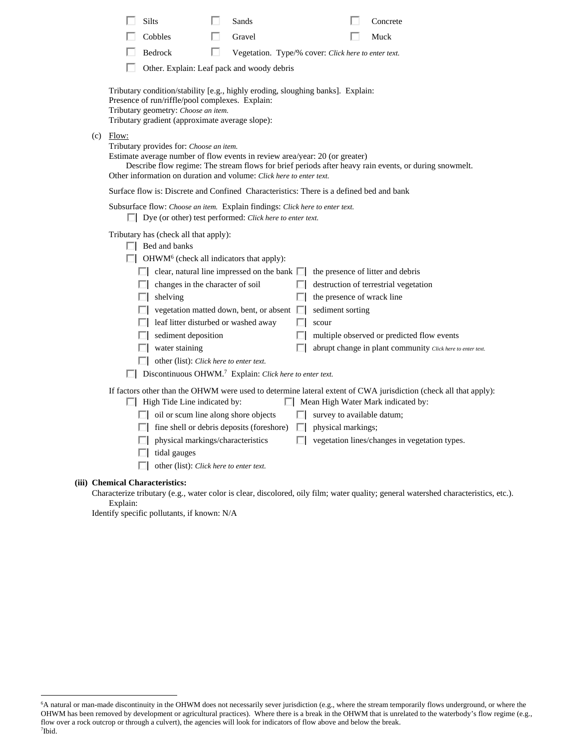| Silts       |                                                                                                                                                                           | Sands  |    |                                                     | Concrete                                                                                                                                                      |
|-------------|---------------------------------------------------------------------------------------------------------------------------------------------------------------------------|--------|----|-----------------------------------------------------|---------------------------------------------------------------------------------------------------------------------------------------------------------------|
|             | Cobbles                                                                                                                                                                   | Gravel |    |                                                     | Muck                                                                                                                                                          |
|             | Bedrock                                                                                                                                                                   | ш      |    | Vegetation. Type/% cover: Click here to enter text. |                                                                                                                                                               |
|             | Other. Explain: Leaf pack and woody debris                                                                                                                                |        |    |                                                     |                                                                                                                                                               |
|             |                                                                                                                                                                           |        |    |                                                     |                                                                                                                                                               |
|             | Tributary condition/stability [e.g., highly eroding, sloughing banks]. Explain:<br>Presence of run/riffle/pool complexes. Explain:<br>Tributary geometry: Choose an item. |        |    |                                                     |                                                                                                                                                               |
|             | Tributary gradient (approximate average slope):                                                                                                                           |        |    |                                                     |                                                                                                                                                               |
| $(c)$ Flow: | Tributary provides for: Choose an item.                                                                                                                                   |        |    |                                                     |                                                                                                                                                               |
|             | Estimate average number of flow events in review area/year: 20 (or greater)<br>Other information on duration and volume: Click here to enter text.                        |        |    |                                                     | Describe flow regime: The stream flows for brief periods after heavy rain events, or during snowmelt.                                                         |
|             | Surface flow is: Discrete and Confined Characteristics: There is a defined bed and bank                                                                                   |        |    |                                                     |                                                                                                                                                               |
|             |                                                                                                                                                                           |        |    |                                                     |                                                                                                                                                               |
|             | Subsurface flow: Choose an item. Explain findings: Click here to enter text.<br>$\Box$ Dye (or other) test performed: <i>Click here to enter text</i> .                   |        |    |                                                     |                                                                                                                                                               |
|             | Tributary has (check all that apply):<br>$\Box$ Bed and banks<br>$\Box$ OHWM <sup>6</sup> (check all indicators that apply):                                              |        |    |                                                     |                                                                                                                                                               |
|             | $\Box$ clear, natural line impressed on the bank $\Box$ the presence of litter and debris                                                                                 |        |    |                                                     |                                                                                                                                                               |
|             | $\Box$ changes in the character of soil                                                                                                                                   |        |    |                                                     | $\Box$ destruction of terrestrial vegetation                                                                                                                  |
|             | $\Box$ shelving                                                                                                                                                           |        |    | $\Box$ the presence of wrack line                   |                                                                                                                                                               |
|             | $\Box$ vegetation matted down, bent, or absent $\Box$ sediment sorting                                                                                                    |        |    |                                                     |                                                                                                                                                               |
|             | leaf litter disturbed or washed away                                                                                                                                      |        | П. | scour                                               |                                                                                                                                                               |
|             | $\Box$ sediment deposition                                                                                                                                                |        | ш  |                                                     | multiple observed or predicted flow events                                                                                                                    |
|             | $\Box$ water staining                                                                                                                                                     |        | п  |                                                     | abrupt change in plant community Click here to enter text.                                                                                                    |
|             | $\Box$ other (list): <i>Click here to enter text.</i>                                                                                                                     |        |    |                                                     |                                                                                                                                                               |
|             | $\Box$ Discontinuous OHWM. <sup>7</sup> Explain: Click here to enter text.                                                                                                |        |    |                                                     |                                                                                                                                                               |
|             | $\Box$ High Tide Line indicated by:                                                                                                                                       |        |    |                                                     | If factors other than the OHWM were used to determine lateral extent of CWA jurisdiction (check all that apply):<br>$\Box$ Mean High Water Mark indicated by: |
|             | $\Box$ oil or scum line along shore objects                                                                                                                               |        |    | $\Box$ survey to available datum;                   |                                                                                                                                                               |
|             | $\Box$ fine shell or debris deposits (foreshore) $\Box$ physical markings;                                                                                                |        |    |                                                     |                                                                                                                                                               |
|             | physical markings/characteristics<br>tidal gauges                                                                                                                         |        |    |                                                     | vegetation lines/changes in vegetation types.                                                                                                                 |
|             | other (list): Click here to enter text.                                                                                                                                   |        |    |                                                     |                                                                                                                                                               |

# **(iii) Chemical Characteristics:**

 $\overline{a}$ 

Characterize tributary (e.g., water color is clear, discolored, oily film; water quality; general watershed characteristics, etc.). Explain:

Identify specific pollutants, if known: N/A

<sup>6</sup> A natural or man-made discontinuity in the OHWM does not necessarily sever jurisdiction (e.g., where the stream temporarily flows underground, or where the OHWM has been removed by development or agricultural practices). Where there is a break in the OHWM that is unrelated to the waterbody's flow regime (e.g., flow over a rock outcrop or through a culvert), the agencies will look for indicators of flow above and below the break. 7 Ibid.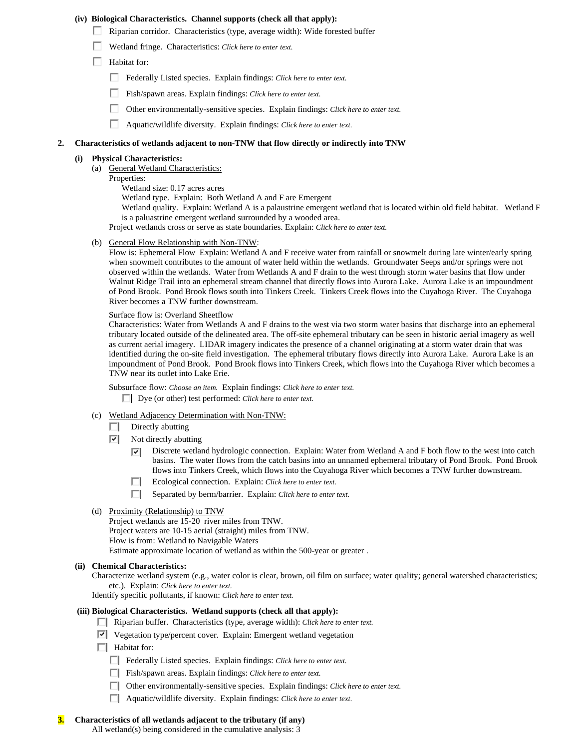#### **(iv) Biological Characteristics. Channel supports (check all that apply):**

- Riparian corridor. Characteristics (type, average width): Wide forested buffer
- Wetland fringe. Characteristics: *Click here to enter text.*
- **Habitat for:** 
	- Federally Listed species. Explain findings: *Click here to enter text.*
	- Fish/spawn areas. Explain findings: *Click here to enter text.*
	- $\Box$ Other environmentally-sensitive species. Explain findings: *Click here to enter text.*
	- П Aquatic/wildlife diversity. Explain findings: *Click here to enter text.*

## **2. Characteristics of wetlands adjacent to non-TNW that flow directly or indirectly into TNW**

#### **(i) Physical Characteristics:**

- (a) General Wetland Characteristics:
	- Properties: Wetland size: 0.17 acres acres Wetland type. Explain: Both Wetland A and F are Emergent Wetland quality. Explain: Wetland A is a palaustrine emergent wetland that is located within old field habitat. Wetland F is a paluastrine emergent wetland surrounded by a wooded area. Project wetlands cross or serve as state boundaries. Explain: *Click here to enter text.*
- (b) General Flow Relationship with Non-TNW:

Flow is: Ephemeral Flow Explain: Wetland A and F receive water from rainfall or snowmelt during late winter/early spring when snowmelt contributes to the amount of water held within the wetlands. Groundwater Seeps and/or springs were not observed within the wetlands. Water from Wetlands A and F drain to the west through storm water basins that flow under Walnut Ridge Trail into an ephemeral stream channel that directly flows into Aurora Lake. Aurora Lake is an impoundment of Pond Brook. Pond Brook flows south into Tinkers Creek. Tinkers Creek flows into the Cuyahoga River. The Cuyahoga River becomes a TNW further downstream.

Surface flow is: Overland Sheetflow

Characteristics: Water from Wetlands A and F drains to the west via two storm water basins that discharge into an ephemeral tributary located outside of the delineated area. The off-site ephemeral tributary can be seen in historic aerial imagery as well as current aerial imagery. LIDAR imagery indicates the presence of a channel originating at a storm water drain that was identified during the on-site field investigation. The ephemeral tributary flows directly into Aurora Lake. Aurora Lake is an impoundment of Pond Brook. Pond Brook flows into Tinkers Creek, which flows into the Cuyahoga River which becomes a TNW near its outlet into Lake Erie.

Subsurface flow: *Choose an item.* Explain findings: *Click here to enter text.*

Dye (or other) test performed: *Click here to enter text.*

- (c) Wetland Adjacency Determination with Non-TNW:
	- $\Box$  Directly abutting
	- ⊽ Not directly abutting
		- Discrete wetland hydrologic connection. Explain: Water from Wetland A and F both flow to the west into catch ⊽ basins. The water flows from the catch basins into an unnamed ephemeral tributary of Pond Brook. Pond Brook flows into Tinkers Creek, which flows into the Cuyahoga River which becomes a TNW further downstream.
		- п. Ecological connection. Explain: *Click here to enter text.*
		- Separated by berm/barrier. Explain: *Click here to enter text*.
- (d) Proximity (Relationship) to TNW

Project wetlands are 15-20 river miles from TNW. Project waters are 10-15 aerial (straight) miles from TNW. Flow is from: Wetland to Navigable Waters Estimate approximate location of wetland as within the 500-year or greater .

#### **(ii) Chemical Characteristics:**

Characterize wetland system (e.g., water color is clear, brown, oil film on surface; water quality; general watershed characteristics; etc.). Explain: *Click here to enter text.*

Identify specific pollutants, if known: *Click here to enter text.*

#### **(iii) Biological Characteristics. Wetland supports (check all that apply):**

- Riparian buffer. Characteristics (type, average width): *Click here to enter text.*
- Vegetation type/percent cover. Explain: Emergent wetland vegetation
- $\Box$  Habitat for:
	- Federally Listed species. Explain findings: *Click here to enter text*.
	- Fish/spawn areas. Explain findings: *Click here to enter text.*
	- Other environmentally-sensitive species. Explain findings: *Click here to enter text.*
	- Aquatic/wildlife diversity. Explain findings: *Click here to enter text.*

## **3. Characteristics of all wetlands adjacent to the tributary (if any)**

All wetland(s) being considered in the cumulative analysis: 3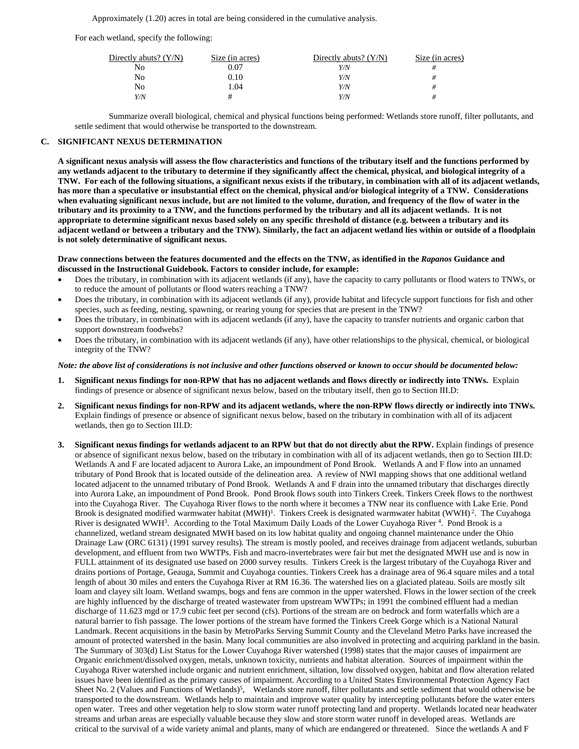Approximately (1.20) acres in total are being considered in the cumulative analysis.

For each wetland, specify the following:

| Directly abuts? $(Y/N)$ | Size (in acres) | Directly abuts? $(Y/N)$ | Size (in acres) |
|-------------------------|-----------------|-------------------------|-----------------|
| No                      | 0.07            | Y/N                     |                 |
| No                      | 0.10            | Y/N                     | #               |
| No                      | .04             | Y/N                     | #               |
| Y/N                     |                 | Y/N                     |                 |

 Summarize overall biological, chemical and physical functions being performed: Wetlands store runoff, filter pollutants, and settle sediment that would otherwise be transported to the downstream.

#### **C. SIGNIFICANT NEXUS DETERMINATION**

**A significant nexus analysis will assess the flow characteristics and functions of the tributary itself and the functions performed by any wetlands adjacent to the tributary to determine if they significantly affect the chemical, physical, and biological integrity of a TNW. For each of the following situations, a significant nexus exists if the tributary, in combination with all of its adjacent wetlands, has more than a speculative or insubstantial effect on the chemical, physical and/or biological integrity of a TNW. Considerations when evaluating significant nexus include, but are not limited to the volume, duration, and frequency of the flow of water in the tributary and its proximity to a TNW, and the functions performed by the tributary and all its adjacent wetlands. It is not appropriate to determine significant nexus based solely on any specific threshold of distance (e.g. between a tributary and its adjacent wetland or between a tributary and the TNW). Similarly, the fact an adjacent wetland lies within or outside of a floodplain is not solely determinative of significant nexus.** 

#### **Draw connections between the features documented and the effects on the TNW, as identified in the** *Rapanos* **Guidance and discussed in the Instructional Guidebook. Factors to consider include, for example:**

- Does the tributary, in combination with its adjacent wetlands (if any), have the capacity to carry pollutants or flood waters to TNWs, or to reduce the amount of pollutants or flood waters reaching a TNW?
- Does the tributary, in combination with its adjacent wetlands (if any), provide habitat and lifecycle support functions for fish and other species, such as feeding, nesting, spawning, or rearing young for species that are present in the TNW?
- Does the tributary, in combination with its adjacent wetlands (if any), have the capacity to transfer nutrients and organic carbon that support downstream foodwebs?
- Does the tributary, in combination with its adjacent wetlands (if any), have other relationships to the physical, chemical, or biological integrity of the TNW?

#### *Note: the above list of considerations is not inclusive and other functions observed or known to occur should be documented below:*

- **1. Significant nexus findings for non-RPW that has no adjacent wetlands and flows directly or indirectly into TNWs.** Explain findings of presence or absence of significant nexus below, based on the tributary itself, then go to Section III.D:
- **2. Significant nexus findings for non-RPW and its adjacent wetlands, where the non-RPW flows directly or indirectly into TNWs.**  Explain findings of presence or absence of significant nexus below, based on the tributary in combination with all of its adjacent wetlands, then go to Section III.D:
- **3. Significant nexus findings for wetlands adjacent to an RPW but that do not directly abut the RPW.** Explain findings of presence or absence of significant nexus below, based on the tributary in combination with all of its adjacent wetlands, then go to Section III.D: Wetlands A and F are located adjacent to Aurora Lake, an impoundment of Pond Brook. Wetlands A and F flow into an unnamed tributary of Pond Brook that is located outside of the delineation area. A review of NWI mapping shows that one additional wetland located adjacent to the unnamed tributary of Pond Brook. Wetlands A and F drain into the unnamed tributary that discharges directly into Aurora Lake, an impoundment of Pond Brook. Pond Brook flows south into Tinkers Creek. Tinkers Creek flows to the northwest into the Cuyahoga River. The Cuyahoga River flows to the north where it becomes a TNW near its confluence with Lake Erie. Pond Brook is designated modified warmwater habitat  $(MWH)^1$ . Tinkers Creek is designated warmwater habitat  $(WWH)^2$ . The Cuyahoga River is designated WWH<sup>3</sup>. According to the Total Maximum Daily Loads of the Lower Cuyahoga River <sup>4</sup>. Pond Brook is a channelized, wetland stream designated MWH based on its low habitat quality and ongoing channel maintenance under the Ohio Drainage Law (ORC 6131) (1991 survey results). The stream is mostly pooled, and receives drainage from adjacent wetlands, suburban development, and effluent from two WWTPs. Fish and macro-invertebrates were fair but met the designated MWH use and is now in FULL attainment of its designated use based on 2000 survey results. Tinkers Creek is the largest tributary of the Cuyahoga River and drains portions of Portage, Geauga, Summit and Cuyahoga counties. Tinkers Creek has a drainage area of 96.4 square miles and a total length of about 30 miles and enters the Cuyahoga River at RM 16.36. The watershed lies on a glaciated plateau. Soils are mostly silt loam and clayey silt loam. Wetland swamps, bogs and fens are common in the upper watershed. Flows in the lower section of the creek are highly influenced by the discharge of treated wastewater from upstream WWTPs; in 1991 the combined effluent had a median discharge of 11.623 mgd or 17.9 cubic feet per second (cfs). Portions of the stream are on bedrock and form waterfalls which are a natural barrier to fish passage. The lower portions of the stream have formed the Tinkers Creek Gorge which is a National Natural Landmark. Recent acquisitions in the basin by MetroParks Serving Summit County and the Cleveland Metro Parks have increased the amount of protected watershed in the basin. Many local communities are also involved in protecting and acquiring parkland in the basin. The Summary of 303(d) List Status for the Lower Cuyahoga River watershed (1998) states that the major causes of impairment are Organic enrichment/dissolved oxygen, metals, unknown toxicity, nutrients and habitat alteration. Sources of impairment within the Cuyahoga River watershed include organic and nutrient enrichment, siltation, low dissolved oxygen, habitat and flow alteration related issues have been identified as the primary causes of impairment. According to a United States Environmental Protection Agency Fact Sheet No. 2 (Values and Functions of Wetlands)<sup>5</sup>, Wetlands store runoff, filter pollutants and settle sediment that would otherwise be transported to the downstream. Wetlands help to maintain and improve water quality by intercepting pollutants before the water enters open water. Trees and other vegetation help to slow storm water runoff protecting land and property. Wetlands located near headwater streams and urban areas are especially valuable because they slow and store storm water runoff in developed areas. Wetlands are critical to the survival of a wide variety animal and plants, many of which are endangered or threatened. Since the wetlands A and F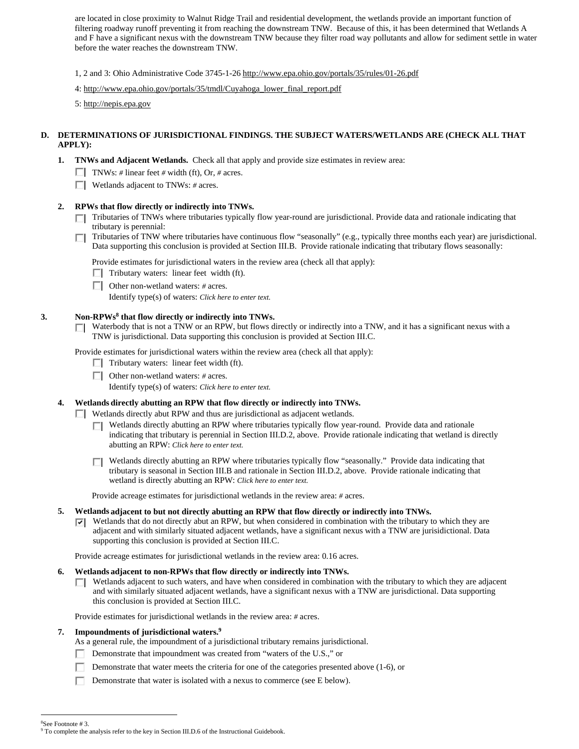are located in close proximity to Walnut Ridge Trail and residential development, the wetlands provide an important function of filtering roadway runoff preventing it from reaching the downstream TNW. Because of this, it has been determined that Wetlands A and F have a significant nexus with the downstream TNW because they filter road way pollutants and allow for sediment settle in water before the water reaches the downstream TNW.

1, 2 and 3: Ohio Administrative Code 3745-1-26 http://www.epa.ohio.gov/portals/35/rules/01-26.pdf

4: http://www.epa.ohio.gov/portals/35/tmdl/Cuyahoga\_lower\_final\_report.pdf

5: http://nepis.epa.gov

## **D. DETERMINATIONS OF JURISDICTIONAL FINDINGS. THE SUBJECT WATERS/WETLANDS ARE (CHECK ALL THAT APPLY):**

- **1. TNWs and Adjacent Wetlands.** Check all that apply and provide size estimates in review area:
	- TNWs: *#* linear feet *#* width (ft), Or, *#* acres.
	- Wetlands adjacent to TNWs: *#* acres.

#### **2. RPWs that flow directly or indirectly into TNWs.**

- Tributaries of TNWs where tributaries typically flow year-round are jurisdictional. Provide data and rationale indicating that tributary is perennial:
- П Tributaries of TNW where tributaries have continuous flow "seasonally" (e.g., typically three months each year) are jurisdictional. Data supporting this conclusion is provided at Section III.B. Provide rationale indicating that tributary flows seasonally:

Provide estimates for jurisdictional waters in the review area (check all that apply):

- $\Box$  Tributary waters: linear feet width (ft).
- Other non-wetland waters: *#* acres.

Identify type(s) of waters: *Click here to enter text.*

### **3. Non-RPWs8 that flow directly or indirectly into TNWs.**

 $\Box$  Waterbody that is not a TNW or an RPW, but flows directly or indirectly into a TNW, and it has a significant nexus with a TNW is jurisdictional. Data supporting this conclusion is provided at Section III.C.

Provide estimates for jurisdictional waters within the review area (check all that apply):

- $\Box$  Tributary waters: linear feet width (ft).
- Other non-wetland waters: *#* acres.
	- Identify type(s) of waters: *Click here to enter text.*
- **4. Wetlands directly abutting an RPW that flow directly or indirectly into TNWs.**
	- Wetlands directly abut RPW and thus are jurisdictional as adjacent wetlands.
		- Wetlands directly abutting an RPW where tributaries typically flow year-round. Provide data and rationale П. indicating that tributary is perennial in Section III.D.2, above. Provide rationale indicating that wetland is directly abutting an RPW: *Click here to enter text.*

Wetlands directly abutting an RPW where tributaries typically flow "seasonally." Provide data indicating that tributary is seasonal in Section III.B and rationale in Section III.D.2, above. Provide rationale indicating that wetland is directly abutting an RPW: *Click here to enter text.*

Provide acreage estimates for jurisdictional wetlands in the review area: *#* acres.

#### **5. Wetlands adjacent to but not directly abutting an RPW that flow directly or indirectly into TNWs.**

 $\nabla$  Wetlands that do not directly abut an RPW, but when considered in combination with the tributary to which they are adjacent and with similarly situated adjacent wetlands, have a significant nexus with a TNW are jurisidictional. Data supporting this conclusion is provided at Section III.C.

Provide acreage estimates for jurisdictional wetlands in the review area: 0.16 acres.

#### **6. Wetlands adjacent to non-RPWs that flow directly or indirectly into TNWs.**

 $\Box$  Wetlands adjacent to such waters, and have when considered in combination with the tributary to which they are adjacent and with similarly situated adjacent wetlands, have a significant nexus with a TNW are jurisdictional. Data supporting this conclusion is provided at Section III.C.

Provide estimates for jurisdictional wetlands in the review area: *#* acres.

#### **7. Impoundments of jurisdictional waters.9**

As a general rule, the impoundment of a jurisdictional tributary remains jurisdictional.

- Demonstrate that impoundment was created from "waters of the U.S.," or
- Demonstrate that water meets the criteria for one of the categories presented above (1-6), or
- Demonstrate that water is isolated with a nexus to commerce (see E below).

 $\overline{a}$ 

<sup>8</sup> See Footnote # 3.

<sup>&</sup>lt;sup>9</sup> To complete the analysis refer to the key in Section III.D.6 of the Instructional Guidebook.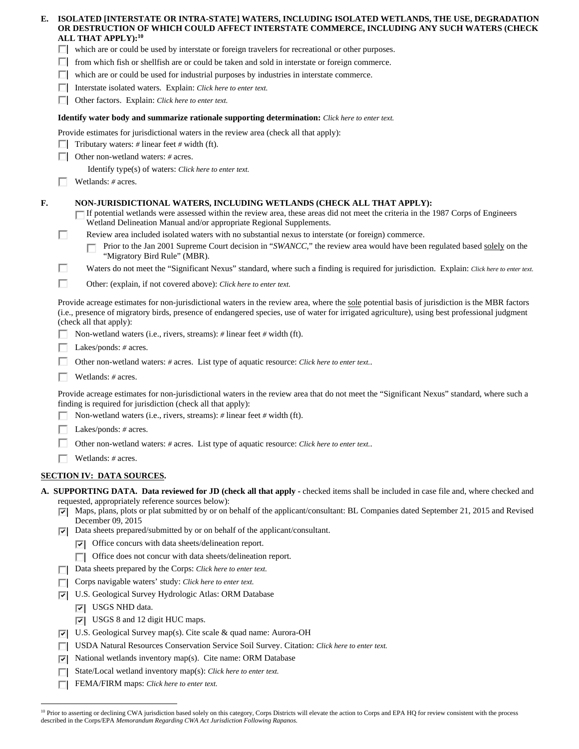| Е. |     | ISOLATED [INTERSTATE OR INTRA-STATE] WATERS, INCLUDING ISOLATED WETLANDS, THE USE, DEGRADATION<br>OR DESTRUCTION OF WHICH COULD AFFECT INTERSTATE COMMERCE, INCLUDING ANY SUCH WATERS (CHECK<br>ALL THAT APPLY): <sup>10</sup>                                                                                            |
|----|-----|---------------------------------------------------------------------------------------------------------------------------------------------------------------------------------------------------------------------------------------------------------------------------------------------------------------------------|
|    |     | which are or could be used by interstate or foreign travelers for recreational or other purposes.                                                                                                                                                                                                                         |
|    |     | from which fish or shellfish are or could be taken and sold in interstate or foreign commerce.                                                                                                                                                                                                                            |
|    | П   | which are or could be used for industrial purposes by industries in interstate commerce.                                                                                                                                                                                                                                  |
|    |     | Interstate isolated waters. Explain: Click here to enter text.                                                                                                                                                                                                                                                            |
|    |     | Other factors. Explain: Click here to enter text.                                                                                                                                                                                                                                                                         |
|    |     |                                                                                                                                                                                                                                                                                                                           |
|    |     | <b>Identify water body and summarize rationale supporting determination:</b> Click here to enter text.                                                                                                                                                                                                                    |
|    |     | Provide estimates for jurisdictional waters in the review area (check all that apply):                                                                                                                                                                                                                                    |
|    |     | Tributary waters: $\#$ linear feet $\#$ width (ft).                                                                                                                                                                                                                                                                       |
|    |     | Other non-wetland waters: # acres.                                                                                                                                                                                                                                                                                        |
|    |     | Identify type(s) of waters: Click here to enter text.                                                                                                                                                                                                                                                                     |
|    |     | Wetlands: # acres.                                                                                                                                                                                                                                                                                                        |
| F. |     | NON-JURISDICTIONAL WATERS, INCLUDING WETLANDS (CHECK ALL THAT APPLY):<br>If potential wetlands were assessed within the review area, these areas did not meet the criteria in the 1987 Corps of Engineers<br>Wetland Delineation Manual and/or appropriate Regional Supplements.                                          |
|    | п   | Review area included isolated waters with no substantial nexus to interstate (or foreign) commerce.                                                                                                                                                                                                                       |
|    |     | Prior to the Jan 2001 Supreme Court decision in "SWANCC," the review area would have been regulated based solely on the<br>"Migratory Bird Rule" (MBR).                                                                                                                                                                   |
|    | п   | Waters do not meet the "Significant Nexus" standard, where such a finding is required for jurisdiction. Explain: Click here to enter text.                                                                                                                                                                                |
|    | П   | Other: (explain, if not covered above): Click here to enter text.                                                                                                                                                                                                                                                         |
|    |     | Provide acreage estimates for non-jurisdictional waters in the review area, where the sole potential basis of jurisdiction is the MBR factors<br>(i.e., presence of migratory birds, presence of endangered species, use of water for irrigated agriculture), using best professional judgment<br>(check all that apply): |
|    |     | Non-wetland waters (i.e., rivers, streams): # linear feet # width (ft).                                                                                                                                                                                                                                                   |
|    |     | Lakes/ponds: # acres.                                                                                                                                                                                                                                                                                                     |
|    |     | Other non-wetland waters: # acres. List type of aquatic resource: Click here to enter text                                                                                                                                                                                                                                |
|    |     | Wetlands: # acres.                                                                                                                                                                                                                                                                                                        |
|    |     | Provide acreage estimates for non-jurisdictional waters in the review area that do not meet the "Significant Nexus" standard, where such a<br>finding is required for jurisdiction (check all that apply):                                                                                                                |
|    |     | Non-wetland waters (i.e., rivers, streams): $\#$ linear feet $\#$ width (ft).                                                                                                                                                                                                                                             |
|    |     | Lakes/ponds: # acres.                                                                                                                                                                                                                                                                                                     |
|    |     | Other non-wetland waters: # acres. List type of aquatic resource: Click here to enter text                                                                                                                                                                                                                                |
|    |     | Wetlands: # acres.                                                                                                                                                                                                                                                                                                        |
|    |     |                                                                                                                                                                                                                                                                                                                           |
|    |     | <b>SECTION IV: DATA SOURCES.</b>                                                                                                                                                                                                                                                                                          |
|    |     | A. SUPPORTING DATA. Data reviewed for JD (check all that apply - checked items shall be included in case file and, where checked and                                                                                                                                                                                      |
|    | ⊡   | requested, appropriately reference sources below):<br>Maps, plans, plots or plat submitted by or on behalf of the applicant/consultant: BL Companies dated September 21, 2015 and Revised<br>December 09, 2015                                                                                                            |
|    | び   | Data sheets prepared/submitted by or on behalf of the applicant/consultant.                                                                                                                                                                                                                                               |
|    |     | Office concurs with data sheets/delineation report.<br>∣✓∣                                                                                                                                                                                                                                                                |
|    |     | Office does not concur with data sheets/delineation report.<br>П                                                                                                                                                                                                                                                          |
|    | ш   | Data sheets prepared by the Corps: Click here to enter text.                                                                                                                                                                                                                                                              |
|    | ш   | Corps navigable waters' study: Click here to enter text.                                                                                                                                                                                                                                                                  |
|    | ▽   | U.S. Geological Survey Hydrologic Atlas: ORM Database                                                                                                                                                                                                                                                                     |
|    |     | USGS NHD data.<br>⊡                                                                                                                                                                                                                                                                                                       |
|    |     | $ \nabla $ USGS 8 and 12 digit HUC maps.                                                                                                                                                                                                                                                                                  |
|    | ∣✓∣ | U.S. Geological Survey map(s). Cite scale & quad name: Aurora-OH                                                                                                                                                                                                                                                          |
|    | ш   | USDA Natural Resources Conservation Service Soil Survey. Citation: Click here to enter text.                                                                                                                                                                                                                              |
|    | 罓   | National wetlands inventory map(s). Cite name: ORM Database                                                                                                                                                                                                                                                               |
|    |     |                                                                                                                                                                                                                                                                                                                           |
|    | п   | State/Local wetland inventory map(s): Click here to enter text.                                                                                                                                                                                                                                                           |

 $\overline{a}$ <sup>10</sup> Prior to asserting or declining CWA jurisdiction based solely on this category, Corps Districts will elevate the action to Corps and EPA HQ for review consistent with the process described in the Corps/EPA *Memorandum Regarding CWA Act Jurisdiction Following Rapanos.*